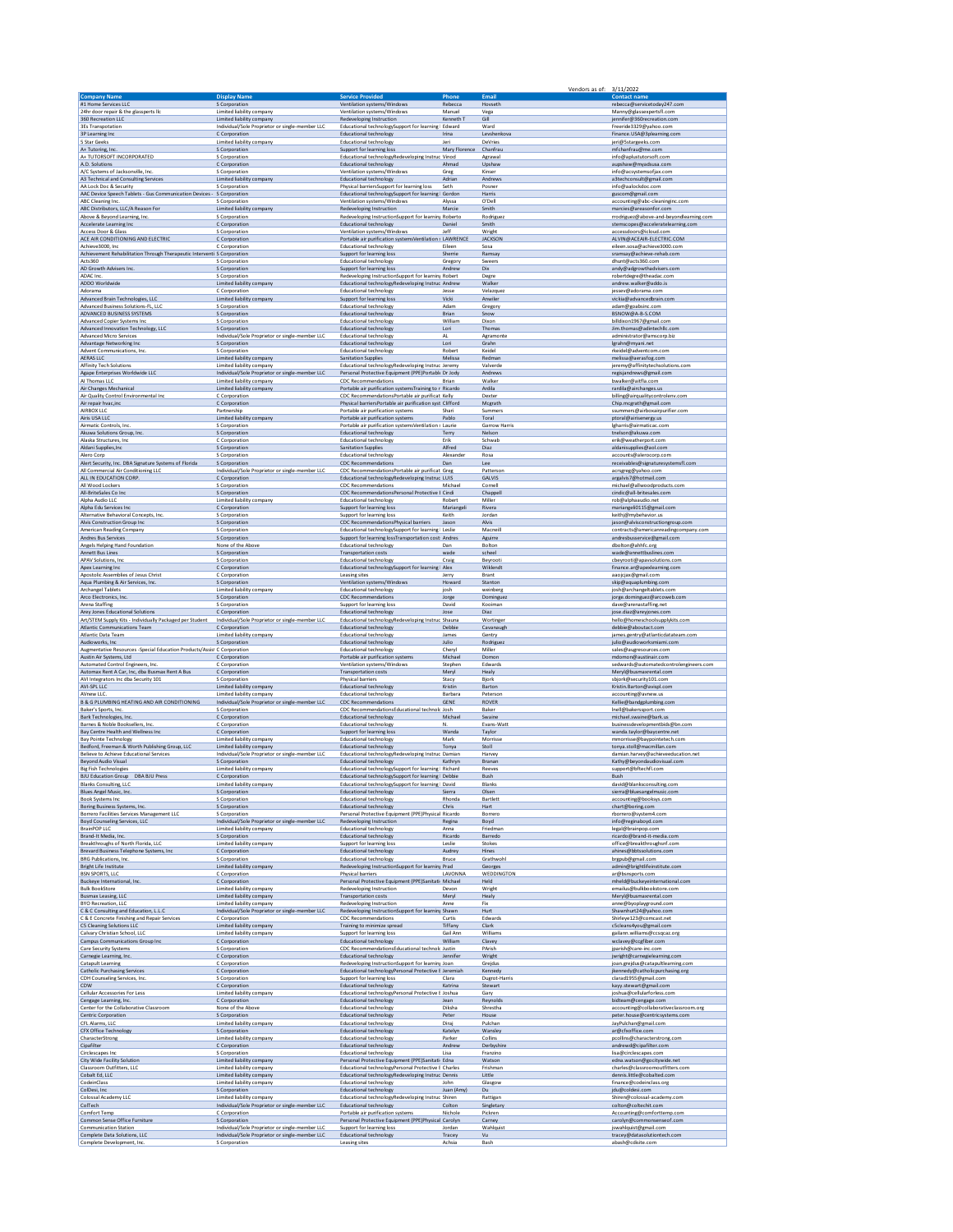|                                                                                                   |                                                                         |                                                                                                                                                   |                      | Vendors as of: 3/11/2022     |                                                                                              |
|---------------------------------------------------------------------------------------------------|-------------------------------------------------------------------------|---------------------------------------------------------------------------------------------------------------------------------------------------|----------------------|------------------------------|----------------------------------------------------------------------------------------------|
| <b>Company Name</b>                                                                               | <b>Display Name</b>                                                     | <b>Service Provided</b>                                                                                                                           | Phone                | Email                        | rebecca@servicetoday247.com                                                                  |
| #1 Home Services LLC                                                                              | S Corporation                                                           | Ventilation systems/Windows                                                                                                                       | Rebecca              | Hovseth                      |                                                                                              |
| 24hr door repair & the glassperts lic                                                             | Limited liability company                                               | Ventilation systems/Windows                                                                                                                       | Manuel               | Vega                         | Manny@glassexpertsfl.com                                                                     |
| 360 Recreation LLC                                                                                | Limited liability company                                               | Redeveloping Instruction                                                                                                                          | Kenneth <sub>T</sub> | Gill                         | jennifer@360recreation.com                                                                   |
| <b>RES Transpotation</b>                                                                          | Individual/Sole Proprietor or single-member LLC                         | Educational technologySupport for learning I Edward                                                                                               | Irina                | Ward                         | Freeride3329@yahoo.com                                                                       |
| 3P Learning Inc                                                                                   | C Corporation                                                           | <b>Educational technology</b>                                                                                                                     |                      | Levshenkova                  | Finance.USA@3plearning.com                                                                   |
| 5 Star Geeks                                                                                      | Limited liability company                                               | <b>Educational technology</b>                                                                                                                     | Jeri                 | DeVries                      | jeri@5stargeeks.com                                                                          |
| A+ Tutoring, Inc.                                                                                 | S Corporation                                                           | Support for learning loss                                                                                                                         | Mary Florence        | Chanfrau                     | mfchanfrau@me.com                                                                            |
| A+ TUTORSOFT INCORPORATED                                                                         | S Corporation                                                           | Educational technologyRedeveloping Instruc Vinod                                                                                                  | Ahmad                | Agrawal                      | info@aplustutorsoft.com                                                                      |
| A.D. Solutions                                                                                    | C Corporation                                                           | <b>Educational technology</b>                                                                                                                     |                      | Upshaw                       | aupshaw@myadsusa.com                                                                         |
| A/C Systems of Jacksonville, Inc.                                                                 | S Corporation                                                           | Ventilation systems/Windows                                                                                                                       | Greg                 | Kinser                       | info@acsystemsofjax.com                                                                      |
| A3 Technical and Consulting Services                                                              | Limited liability company                                               | <b>Educational technology</b>                                                                                                                     | Adrian               | Andrews                      | a3techconsult@gmail.com                                                                      |
| AA Lock Doc & Security<br>AAC Device Speech Tablets - Gus Communication Devices - . S Corporation | S Corporation                                                           | Physical barriersSupport for learning loss<br>Educational technologySupport for learning   Gordon                                                 | Seth                 | Posner<br>Harris             | info@aalockdoc.com<br>guscom@gmail.com                                                       |
| <b>ABC</b> Cleaning Inc.                                                                          | S Corporation                                                           | Ventilation systems/Windows                                                                                                                       | Alyssa               | O'Dell                       | accounting@abc-cleaninginc.com                                                               |
| ABC Distributors, LLC/A Reason For                                                                | Limited liability company                                               | Redeveloping Instruction                                                                                                                          | Marcie               | Smith                        | marcies@areasonfor.com                                                                       |
| Above & Beyond Learning, Inc.                                                                     | S Corporation                                                           | Redeveloping InstructionSupport for learning Roberto                                                                                              | Daniel               | Rodriguez                    | rrodriguez@above-and-beyondlearning.com                                                      |
| Accelerate Learning Inc                                                                           | C Corporation                                                           | <b>Educational technology</b>                                                                                                                     |                      | Smith                        | stemscopes@acceleratelearning.com                                                            |
| Access Door & Glass                                                                               | S Corporation                                                           | Ventilation systems/Windows                                                                                                                       | Jeff                 | Wright                       | accessdoors@icloud.com                                                                       |
| ACE AIR CONDITIONING AND ELECTRIC                                                                 | C Corporation                                                           | Portable air purification systems Ventilation s LAWRENCE                                                                                          |                      | <b>JACKSON</b>               | ALVIN@ACEAIR-ELECTRIC.COM                                                                    |
| Achieve3000, Inc                                                                                  | C Corporation                                                           | <b>Educational technology</b>                                                                                                                     | Eileen               | Sosa                         | eileen.sosa@achieve3000.com                                                                  |
| Achievement Rehabilitation Through Therapeutic Interventi S Corporation                           |                                                                         | Support for learning loss                                                                                                                         | Sherrie              | Ramsay                       | sramsay@achieve-rehab.com                                                                    |
| Acts360                                                                                           | S Corporation                                                           | <b>Educational technology</b>                                                                                                                     | Gregory              | Sweers                       | dhunt@acts360.com                                                                            |
| AD Growth Advisers Inc.                                                                           | S Corporation                                                           | Support for learning loss                                                                                                                         | Andrew               | Dix                          | andy@adgrowthadvisers.com                                                                    |
| ADAC Inc.<br>ADDO Worldwide                                                                       | S Corporation                                                           | Redeveloping InstructionSupport for learning Robert                                                                                               |                      | Degre<br>Walker              | robertdegre@theadac.com                                                                      |
| Adorama<br>Advanced Brain Technologies, LLC                                                       | Limited liability company<br>C Corporation<br>Limited liability company | Educational technologyRedeveloping Instruc Andrew<br><b>Educational technology</b><br>Support for learning loss                                   | Jesse<br>Vicki       | Velazquez<br>Anwiler         | andrew.walker@addo.is<br>jessev@adorama.com<br>vickia@advancedbrain.com                      |
| Advanced Business Solutions-FL, LLC                                                               | S Corporation                                                           | <b>Educational technology</b>                                                                                                                     | Adam                 | Gregory                      | adam@goabsinc.com                                                                            |
| ADVANCED BUSINESS SYSTEMS                                                                         | S Corporation                                                           | <b>Educational technology</b>                                                                                                                     | <b>Brian</b>         | Snow                         | BSNOW@A-B-S.COM                                                                              |
| Advanced Copier Systems Inc                                                                       | S Corporation                                                           | <b>Educational technology</b>                                                                                                                     | William              | Dixon                        | billdixon1967@gmail.com                                                                      |
| Advanced Innovation Technology, LLC                                                               | S Corporation                                                           | Educational technology                                                                                                                            | Lori                 | Thomas                       | Jim.thomas@adintechllc.com                                                                   |
| <b>Advanced Micro Services</b>                                                                    | Individual/Sole Proprietor or single-member LLC                         | <b>Educational technology</b>                                                                                                                     | AL                   | Agramonte                    | administrator@amscorp.biz                                                                    |
| Advantage Networking Inc.                                                                         | S Corporation                                                           | <b>Educational technology</b>                                                                                                                     | Lori                 | Grahn                        | lgrahn@myani.net                                                                             |
| Advent Communications, Inc.                                                                       | S Corporation                                                           | <b>Educational technology</b>                                                                                                                     | Robert               | Keidel                       | rkeidel@adventcom.com                                                                        |
| <b>AERAS LLC</b>                                                                                  | Limited liability company                                               | <b>Sanitation Supplies</b>                                                                                                                        | Melissa              | Redman                       | melissa@aerasfog.com                                                                         |
| Affinity Tech Solutions                                                                           | Limited liability company                                               | Educational technologyRedeveloping Instruc Jeremy                                                                                                 |                      | Valverde                     | jeremy@affinitytechsolutions.com                                                             |
| Agape Enterprises Worldwide LLC                                                                   | Individual/Sole Proprietor or single-member LLC                         | Personal Protective Equipment (PPE)Portable Dr Jody                                                                                               | Brian                | Andrews                      | regisjandrews@gmail.com                                                                      |
| AI Thomas LLC                                                                                     | Limited liability company                                               | <b>CDC</b> Recommendations                                                                                                                        |                      | Walker                       | bwalker@aitfla.com                                                                           |
| Air Changes Mechanical                                                                            | Limited liability company<br>C Corporation                              | Portable air purification systemsTraining to n Ricardo                                                                                            |                      | Ardila                       | rardila@airchanges.us                                                                        |
| Air Quality Control Environmental Inc.<br>Air repair hvac,inc<br>AIRBOX LLC                       | C Corporation<br>Partnership                                            | CDC RecommendationsPortable air purificat Kelly<br>Physical barriers Portable air purification syst Clifford<br>Portable air purification systems | Shari                | Dexter<br>Mcgrath<br>Summers | billing@airqualitycontrolenv.com<br>Chip.mcgrath@gmail.com<br>ssummers@airboxairpurifier.com |
| Airis USA LLC                                                                                     | Limited liability company                                               | Portable air purification systems                                                                                                                 | Pablo                | Toral                        | ptoral@airisenergy.us                                                                        |
| Airmatic Controls, Inc.                                                                           | S Corporation                                                           | Portable air purification systemsVentilation s Laurie                                                                                             | Terry                | Garrow Harris                | Igharris@airmaticac.com                                                                      |
| Akuwa Solutions Group, Inc.                                                                       | S Corporation                                                           | <b>Educational technology</b>                                                                                                                     |                      | Nelson                       | tnelson@akuwa.com                                                                            |
| Alaska Structures, Inc.                                                                           | C Corporation                                                           | Educational technology                                                                                                                            | Erik                 | Schwab                       | erik@weatherport.com                                                                         |
| Aldani Supplies, Inc.                                                                             | S Corporation                                                           | <b>Sanitation Supplies</b>                                                                                                                        | Alfred               | Diaz                         | aldanisupplies@aol.com                                                                       |
| Alero Corp.                                                                                       | S Corporation                                                           | <b>Educational technology</b>                                                                                                                     | Alexander            | Rosa                         | accounts@alerocorp.com                                                                       |
| Alert Security, Inc. DBA Signature Systems of Florida                                             | S Corporation                                                           | <b>CDC Recommendations</b>                                                                                                                        | Dan                  | Lee                          | receivables@signaturesystemsfl.com                                                           |
| All Commercial Air Conditioning LLC                                                               | Individual/Sole Proprietor or single-member LLC                         | CDC RecommendationsPortable air purificat Greg                                                                                                    |                      | Patterson                    | acrsgreg@yahoo.com                                                                           |
| ALL IN EDUCATION CORP                                                                             | C Corporation                                                           | Educational technologyRedeveloping Instruc LUIS                                                                                                   |                      | <b>GALVIS</b>                | argalvis7@hotmail.com                                                                        |
| All Wood Lockers                                                                                  | S Corporation                                                           | <b>CDC Recommendations</b>                                                                                                                        | Michael              | Cornel                       | michael@allwoodproducts.com                                                                  |
| All-BriteSales Co Inc                                                                             | S Corporation                                                           | CDC RecommendationsPersonal Protective E Cindi                                                                                                    |                      | Chappel                      | cindic@all-britesales.com                                                                    |
| Alpha Audio LLC                                                                                   | Limited liability company                                               | <b>Educational technology</b>                                                                                                                     | Robert               | Miller                       | rob@alphaaudio.net                                                                           |
| Alpha Edu Services Inc                                                                            | C Corporation                                                           | Support for learning loss                                                                                                                         | Mariangeli           | Rivera                       | mariangeli0115@gmail.com                                                                     |
| Alternative Behavioral Concepts, Inc.                                                             | S Corporation                                                           | Support for learning loss                                                                                                                         | Keith                | Jordan                       | keithj@mybehavior.us                                                                         |
| Alvis Construction Group Inc                                                                      | S Corporation                                                           | CDC RecommendationsPhysical barriers                                                                                                              | Jason                | Alvis                        | jason@alvisconstructiongroup.com                                                             |
| American Reading Company                                                                          | S Corporation                                                           | Educational technologySupport for learning I Leslie                                                                                               |                      | Macneil                      | contracts@americanreadingcompany.com                                                         |
| Andres Bus Services                                                                               | S Corporation                                                           | Support for learning lossTransportation cost: Andres                                                                                              | Dan                  | Aguirre                      | andresbusservice@gmail.com                                                                   |
| <b>Angels Helping Hand Foundation</b>                                                             | None of the Above                                                       | <b>Educational technology</b>                                                                                                                     |                      | Bolton                       | dbolton@ahhfc.org                                                                            |
| <b>Annett Bus Lines</b>                                                                           | S Corporation                                                           | Transportation costs                                                                                                                              | wade                 | scheel                       | wade@annettbuslines.com                                                                      |
| APAV Solutions, Inc                                                                               | S Corporation                                                           | <b>Educational technology</b>                                                                                                                     | Craig                | Beyrooti                     | cbeyrooti@apavsolutions.com                                                                  |
| Apex Learning Inc                                                                                 | C Corporation                                                           | Educational technologySupport for learning   Alex                                                                                                 | Jerry                | Wiklendt                     | finance.ar@apexlearning.com                                                                  |
| Apostolic Assemblies of Jesus Christ                                                              | C Corporation                                                           | Leasing sites                                                                                                                                     |                      | Brant                        | aaojcjax@gmail.com                                                                           |
| Aqua Plumbing & Air Services, Inc.                                                                | S Corporation                                                           | Ventilation systems/Windows                                                                                                                       | Howard               | Stanton                      | skip@aquaplumbing.com                                                                        |
| Archangel Tablets                                                                                 | Limited liability company                                               | Educational technology                                                                                                                            | josh                 | weinberg                     | josh@archangeltablets.com                                                                    |
| Arco Electronics, Inc.                                                                            | S Corporation                                                           | <b>CDC Recommendations</b>                                                                                                                        | Jorge                | Dominguez                    | jorge.dominguez@arcoweb.com                                                                  |
| Arena Staffing                                                                                    | S Corporation                                                           | Support for learning loss                                                                                                                         | David                | Kooiman                      | dave@arenastaffing.net                                                                       |
| Arey Jones Educational Solutions                                                                  | C Corporation                                                           | <b>Educational technology</b>                                                                                                                     | Jose                 | Diaz                         | jose.diaz@areyjones.com                                                                      |
| Art/STEM Supply Kits - Individually Packaged per Student                                          | Individual/Sole Proprietor or single-member LLC                         | Educational technologyRedeveloping Instruc Shauna                                                                                                 | Debbie               | Wortinger                    | hello@homeschoolsupplykits.com                                                               |
| <b>Atlantic Communications Team</b>                                                               | C Corporation                                                           | Educational technology                                                                                                                            |                      | Cavanaugh                    | debbie@aboutact.com                                                                          |
| Atlantic Data Team                                                                                | Limited liability company                                               | <b>Educational technology</b>                                                                                                                     | James                | Gentry                       | james.gentry@atlanticdatateam.com                                                            |
| Audioworks, Inc.                                                                                  | S Corporation                                                           | <b>Educational technology</b>                                                                                                                     | Julio                | Rodriguez                    | julio@audioworksmiami.com                                                                    |
| Augmentative Resources - Special Education Products/Assist C Corporation                          | C Corporation                                                           | <b>Educational technology</b>                                                                                                                     | Cheryl               | Miller                       | sales@augresources.com                                                                       |
| Austin Air Systems, Ltd                                                                           |                                                                         | Portable air purification systems                                                                                                                 | Michael              | Domon                        | mdomon@austinair.com                                                                         |
| Automated Control Engineers, Inc.                                                                 | C Corporation                                                           | Ventilation systems/Windows                                                                                                                       | Stephen              | Edwards                      | sedwards@automatedcontrolengineers.com                                                       |
| Automax Rent A Car, Inc, dba Busmax Rent A Bus                                                    | C Corporation                                                           | Transportation costs                                                                                                                              | Meryl                | Healy                        | Meryl@busmaxrental.com                                                                       |
| AVI Integrators Inc dba Security 101                                                              | S Corporation                                                           | Physical barriers                                                                                                                                 | Stacy                | Bjork                        | sbjork@security101.com                                                                       |
| AVI-SPI LLC                                                                                       | Limited liability company                                               | <b>Educational technology</b>                                                                                                                     | Kristin              | Barton                       | Kristin.Barton@avispl.com                                                                    |
| AVnew LLC                                                                                         | Limited liability company                                               | <b>Educational technology</b>                                                                                                                     | Barbara              | Peterson                     | accounting@avnew.us                                                                          |
| <b>B &amp; G PLUMBING HEATING AND AIR CONDITIONING</b>                                            | Individual/Sole Proprietor or single-member LLC                         | <b>CDC Recommendations</b>                                                                                                                        | <b>GENE</b>          | <b>ROVER</b>                 | Kellie@bandgplumbing.com                                                                     |
| Baker's Sports, Inc.                                                                              | S Corporation                                                           | CDC RecommendationsEducational technolc Josh                                                                                                      | Michael              | Baker                        | Inell@bakerssport.com                                                                        |
| Bark Technologies, Inc.                                                                           | C Corporation                                                           | <b>Educational technology</b>                                                                                                                     |                      | Swaine                       | michael.swaine@bark.us                                                                       |
| Barnes & Noble Booksellers, Inc.                                                                  | C Corporation                                                           | <b>Educational technology</b>                                                                                                                     | N.                   | Evans-Watt                   | businessdevelopmentbids@bn.com                                                               |
| Bay Centre Health and Wellness Inc                                                                | C Corporation                                                           | Support for learning loss                                                                                                                         | Wanda                | Taylor                       | wanda.taylor@baycentre.net                                                                   |
| <b>Bay Pointe Technology</b>                                                                      | Limited liability company                                               | Educational technology                                                                                                                            | Mark                 | Morrisse                     | mmorrisse@baypointetech.com                                                                  |
| Bedford, Freeman & Worth Publishing Group, LLC                                                    | Limited liability company                                               | <b>Educational technology</b>                                                                                                                     |                      | Stoll                        | tonya.stoll@macmillan.com                                                                    |
| Believe to Achieve Educational Services                                                           | Individual/Sole Proprietor or single-member LLC                         | Educational technologyRedeveloping Instruc Damian                                                                                                 | Tonya                | Harvey                       | damian.harvey@achieveeducation.net                                                           |
| Beyond Audio Visual                                                                               | S Corporation                                                           | <b>Educational technology</b>                                                                                                                     | Kathryn              | Branan                       | Kathy@beyondaudiovisual.com                                                                  |
| <b>Big Fish Technologies</b>                                                                      | Limited liability company                                               | Educational technologySupport for learning   Richard                                                                                              |                      | Reeves                       | support@bftechfl.com                                                                         |
| <b>BJU Education Group DBA BJU Press</b>                                                          | C Corporation                                                           | Educational technologySupport for learning   Debbie                                                                                               |                      | Bush                         | Bush                                                                                         |
| <b>Blanks Consulting, LLC</b>                                                                     | Limited liability company                                               | Educational technologySupport for learning   David                                                                                                |                      | Blanks                       | david@blanksconsulting.com                                                                   |
| Blues Angel Music, Inc.                                                                           | S Corporation                                                           | <b>Educational technology</b>                                                                                                                     | Sierra               | Olsen                        | sierra@bluesangelmusic.com                                                                   |
| <b>Book Systems Inc.</b>                                                                          | S Corporation                                                           | <b>Educational technology</b>                                                                                                                     | Rhonda               | Bartlett                     | accounting@booksys.com                                                                       |
| Boring Business Systems, Inc.                                                                     | S Corporation                                                           | Educational technology                                                                                                                            | Chris                | Hart                         | chart@boring.com                                                                             |
| Borrero Facilities Services Management LLC                                                        | S Corporation                                                           | Personal Protective Equipment (PPE)Physical Ricardo                                                                                               |                      | Borrero                      | rborrero@system4.com                                                                         |
| <b>Boyd Counseling Services, LLC</b>                                                              | Individual/Sole Proprietor or single-member LLC                         | Redeveloping Instruction                                                                                                                          | Regina               | Boyd                         | info@reginaboyd.com                                                                          |
| <b>BrainPOP LLC</b>                                                                               | Limited liability company                                               | <b>Educational technology</b>                                                                                                                     | Anna                 | Friedman                     | legal@brainpop.com                                                                           |
| Brand-It Media, Inc.                                                                              | S Corporation                                                           | Educational technology                                                                                                                            | Ricardo              | Barredo                      | ricardo@brand-it-media.com                                                                   |
| Breakthroughs of North Florida, LLC                                                               | Limited liability company                                               | Support for learning loss                                                                                                                         | Leslie               | Stokes                       | office@breakthroughsnf.com                                                                   |
| Brevard Business Telephone Systems, Inc.                                                          | C Corporation                                                           | <b>Educational technology</b>                                                                                                                     | Audrey               | Hines                        | ahines@bbtssolutions.com                                                                     |
| <b>BRG Publications, Inc.</b>                                                                     | S Corporation                                                           | <b>Educational technology</b>                                                                                                                     | Bruce                | Grathwohl                    | brgpub@gmail.com                                                                             |
| <b>Bright Life Institute</b>                                                                      | Limited liability company                                               | Redeveloping InstructionSupport for learning Prad                                                                                                 | LAVONNA              | Georges                      | admin@brightlifeinstitute.com                                                                |
| <b>BSN SPORTS, LLC</b>                                                                            | C Corporation                                                           | Physical harriers                                                                                                                                 |                      | WEDDINGTON                   | ar@bsnsports.com                                                                             |
| Buckeye International, Inc.                                                                       | C Corporation                                                           | Personal Protective Equipment (PPE)Sanitati: Michael                                                                                              |                      | Held                         | mheld@buckeyeinternational.com                                                               |
| <b>Bulk BookStore</b>                                                                             | Limited liability company                                               | Redeveloping Instruction                                                                                                                          | Devon                | Wright                       | emailus@bulkbookstore.com                                                                    |
| <b>Busmax Leasing, LLC</b>                                                                        | Limited liability company                                               | <b>Transportation costs</b>                                                                                                                       | Meryl                | Healy                        | Meryl@busmaxrental.com                                                                       |
| <b>BYO Recreation, LLC</b>                                                                        | Limited liability company                                               | Redeveloping Instruction                                                                                                                          | Anne                 | Fix                          | anne@byoplayground.com                                                                       |
| C & C Consulting and Education, L.L.C                                                             | Individual/Sole Proprietor or single-member LLC                         | Redeveloping InstructionSupport for learning Shawn                                                                                                |                      | Hurt                         | Shawnhurt24@yahoo.com                                                                        |
| C & E Concrete Finishing and Repair Services                                                      | C Corporation                                                           | <b>CDC Recommendations</b>                                                                                                                        | Curtis               | Edwards                      | Shirleye123@comcast.net                                                                      |
| C5 Cleaning Solutions LLC                                                                         | Limited liability company                                               | Training to minimize spread                                                                                                                       | Tiffany              | Clark                        | c5cleans4you@gmail.com                                                                       |
| Calvary Christian School, LLC                                                                     | Limited liability company                                               | Support for learning loss                                                                                                                         | Gail Ann             | Williams                     | gailann.williams@ccsqcaz.org                                                                 |
| Campus Communications Group Inc                                                                   | C Corporation                                                           | <b>Educational technology</b>                                                                                                                     | William              | Clavey                       | wclavey@ccgfiber.com                                                                         |
| <b>Care Security Systems</b>                                                                      | S Corporation                                                           | CDC RecommendationsEducational technolc Justin                                                                                                    | Jennifer             | PArish                       | jparish@care-inc.com                                                                         |
| Carnegie Learning, Inc.                                                                           | C Corporation                                                           | Educational technology                                                                                                                            |                      | Wright                       | jwright@carnegielearning.com                                                                 |
| Catapult Learning                                                                                 | C Corporation                                                           | Redeveloping InstructionSupport for learning Joan                                                                                                 |                      | Grejdus                      | joan.grejdus@catapultlearning.com                                                            |
| <b>Catholic Purchasing Services</b>                                                               | C Corporation                                                           | Educational technologyPersonal Protective E Jeremiah                                                                                              |                      | Kennedy                      | jkennedy@catholicpurchasing.org                                                              |
| CDH Counseling Services, Inc.                                                                     | S Corporation                                                           | Support for learning loss                                                                                                                         | Clara                | Dugrot-Harris                | clarad1955@gmail.com                                                                         |
| CDW                                                                                               | C Corporation                                                           | <b>Educational technology</b>                                                                                                                     | Katrina              | Stewart                      | kayy.stewart@gmail.com                                                                       |
| Cellular Accessories For Less                                                                     | Limited liability company                                               | Educational technologyPersonal Protective E Joshua                                                                                                |                      | Gary                         | joshua@cellularforless.com                                                                   |
| Cengage Learning, Inc.                                                                            | C Corporation                                                           | Educational technology                                                                                                                            | Jean                 | Reynolds                     | bidteam@cengage.com                                                                          |
| Center for the Collaborative Classroom                                                            | None of the Above                                                       | <b>Educational technology</b>                                                                                                                     | Diksha               | Shrestha                     | accounting@collaborativeclassroom.org                                                        |
| <b>Centric Corporation</b>                                                                        | S Corporation                                                           | <b>Educational technology</b>                                                                                                                     | Peter                | House                        | peter.house@centricsystems.com                                                               |
| CFL Alarms, LLC                                                                                   | Limited liability company                                               | Educational technology                                                                                                                            | Dirai                | Pulchan                      | JayPulchan@gmail.com                                                                         |
| <b>CFX Office Technology</b>                                                                      | S Corporation                                                           | Educational technology                                                                                                                            | Katelyn              | Wansley                      | ar@cfxoffice.com                                                                             |
| CharacterStrong                                                                                   | Limited liability company                                               | Educational technology                                                                                                                            | Parker               | Collins                      | pcollins@characterstrong.com                                                                 |
| Cipafilter                                                                                        | C Corporation                                                           | <b>Educational technology</b>                                                                                                                     | Andrew               | Derbyshire                   | andrewd@cipafilter.com                                                                       |
| Circlescapes Inc.                                                                                 | S Corporation                                                           | <b>Educational technology</b>                                                                                                                     | Lisa                 | Franzino                     | lisa@circlescapes.com                                                                        |
| City Wide Facility Solution                                                                       | Limited liability company                                               | Personal Protective Equipment (PPE)Sanitati Edna                                                                                                  |                      | Watson                       | edna.watson@gocitywide.net                                                                   |
| Classroom Outfitters, LLC                                                                         | Limited liability company                                               | Educational technologyPersonal Protective E Charles                                                                                               |                      | Frishman                     | charles@classroomoutfitters.com                                                              |
| Cobalt Ed, LLC                                                                                    | Limited liability company                                               | Educational technologyRedeveloping Instruc Dennis                                                                                                 | John                 | Little                       | dennis.little@cobalted.com                                                                   |
| CodeinClass                                                                                       | Limited liability company                                               | <b>Educational technology</b>                                                                                                                     |                      | Glasgow                      | finance@codeinclass.org                                                                      |
| ColDesi, Inc.                                                                                     | S Corporation                                                           | <b>Educational technology</b>                                                                                                                     | Juan (Amy)           | Du                           | jdu@coldesi.com                                                                              |
| Colossal Academy LLC                                                                              | Limited liability company                                               | Educational technologyRedeveloping Instruc Shiren                                                                                                 | Colton               | Rattigan                     | Shiren@colossal-academy.com                                                                  |
| ColTech                                                                                           | Individual/Sole Proprietor or single-member LLC                         | Educational technology                                                                                                                            |                      | Singletary                   | colton@coltechit.com                                                                         |
| Comfort Temp                                                                                      | C Corporation                                                           | Portable air purification systems                                                                                                                 | Nichole              | Pickren                      | Accounting@comforttemp.com                                                                   |
| Common Sense Office Furniture                                                                     | S Corporation                                                           | Personal Protective Equipment (PPE)Physical Carolyn                                                                                               |                      | Carney                       | carolyn@commonsenseof.com                                                                    |
| <b>Communication Station</b>                                                                      | Individual/Sole Proprietor or single-member LLC                         | Support for learning loss                                                                                                                         | Jordan               | Wahlquist                    | jswahlquist@gmail.com                                                                        |
| Complete Data Solutions, LLC                                                                      | Individual/Sole Proprietor or single-member LLC                         | <b>Educational technology</b>                                                                                                                     | Tracey               | Vu                           | tracey@datasolutiontech.com                                                                  |
| Complete Development, Inc.                                                                        | S Corporation                                                           | Leasing sites                                                                                                                                     | Achsia               | Bash                         | abash@cdisite.com                                                                            |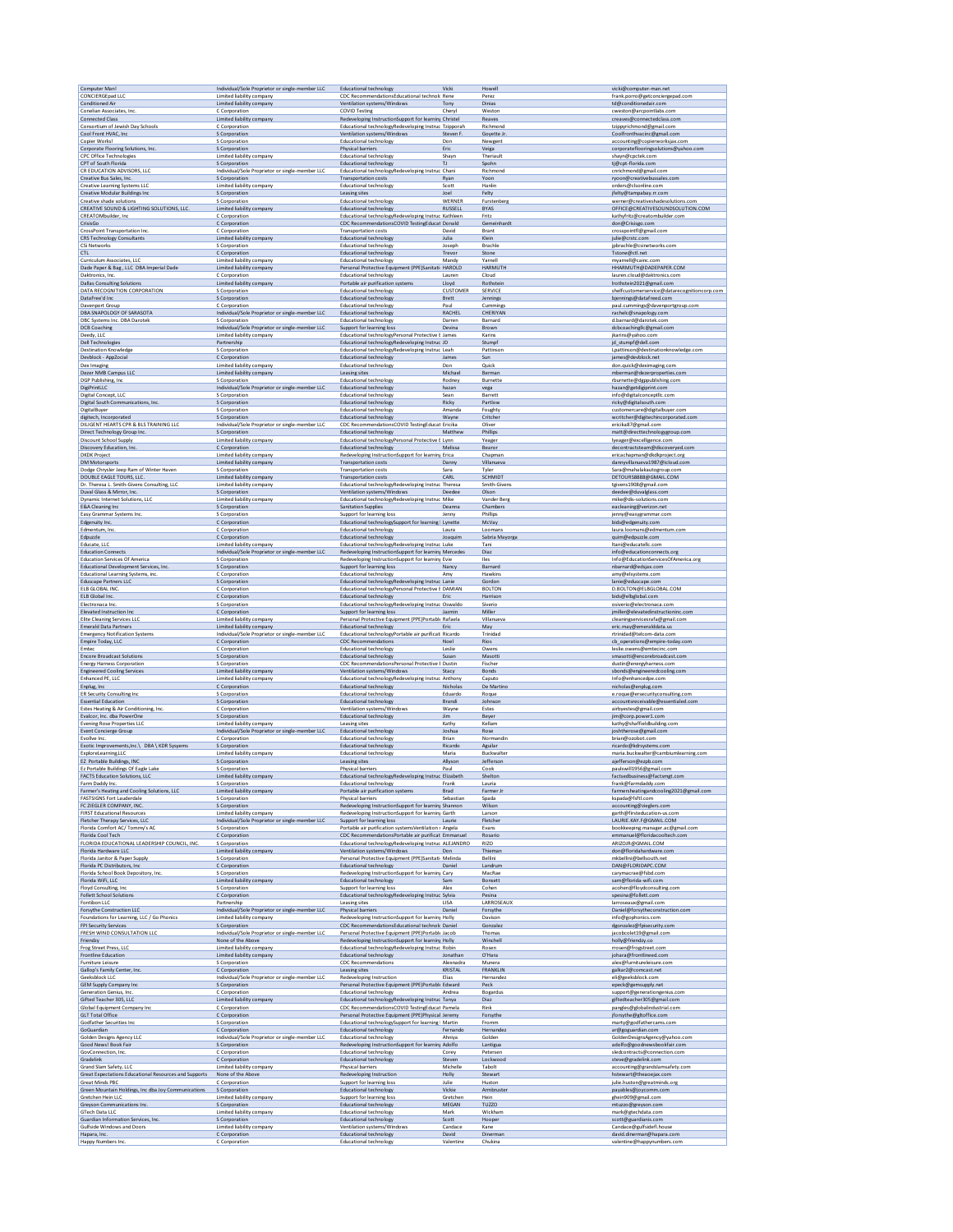| Computer Man!                                                            | Individual/Sole Proprietor or single-member LLC                  | <b>Educational technology</b>                                                                            | Vicki                  | Howell                    | vicki@computer-man.net                                          |
|--------------------------------------------------------------------------|------------------------------------------------------------------|----------------------------------------------------------------------------------------------------------|------------------------|---------------------------|-----------------------------------------------------------------|
| CONCIERGEpad LLC<br><b>Conditioned Air</b>                               | Limited liability company<br>Limited liability company           | CDC RecommendationsEducational technolc Rene                                                             | Tony                   | Perez<br>Dinias           | frank.porro@getconciergepad.com<br>td@conditionedair.com        |
| Conelian Associates, Inc.                                                | C Corporation                                                    | Ventilation systems/Windows<br><b>COVID Testing</b>                                                      | Cheryl                 | Weston                    | cweston@arcpointlabs.com                                        |
| <b>Connected Class</b>                                                   | Limited liability company                                        | Redeveloping InstructionSupport for learning Christel                                                    |                        | Reaves                    | creaves@connectedclass.com                                      |
| Consortium of Jewish Day Schools                                         | C Corporation                                                    | Educational technologyRedeveloping Instruc Tzipporah                                                     |                        | Richmond                  | tzippyrichmond@gmail.com                                        |
| Cool Front HVAC, Inc.                                                    | S Corporation                                                    | Ventilation systems/Windows                                                                              | Steven F               | Goyette Jr.               | Coolfronthvacinc@gmail.com                                      |
| Copier Works!                                                            | S Corporation                                                    | <b>Educational technology</b>                                                                            | Don                    | Newgent                   | accounting@copierworksjax.com                                   |
| Corporate Flooring Solutions, Inc.                                       | S Corporation                                                    | Physical barriers                                                                                        | Eric                   | Veiga                     | corporateflooringsolutions@yahoo.com                            |
| <b>CPC Office Technologies</b>                                           | Limited liability company                                        | <b>Educational technology</b>                                                                            | Shayn                  | Theriault                 | shayn@cpctek.com                                                |
| CPT of South Florida                                                     | S Corporation                                                    | <b>Educational technology</b>                                                                            | $\mathsf{T}\mathsf{J}$ | Spohn                     | tj@cpt-florida.com                                              |
| CR EDUCATION ADVISORS, LLC                                               | Individual/Sole Proprietor or single-member LLC                  | Educational technologyRedeveloping Instruc Chani                                                         | Ryan                   | Richmond                  | cnrichmond@gmail.com                                            |
| Creative Bus Sales, Inc.                                                 | S Corporation                                                    | <b>Transportation costs</b>                                                                              |                        | Yoon                      | ryoon@creativebussales.com                                      |
| Creative Learning Systems LLC                                            | Limited liability company                                        | Educational technology                                                                                   | Scott                  | Hanlin                    | orders@clsonline.com                                            |
| <b>Creative Modular Buildings Inc.</b>                                   | S Corporation                                                    | Leasing sites                                                                                            | Joel                   | Felty                     | jfelty@tampabay.rr.com                                          |
| Creative shade solutions                                                 | S Corporation                                                    | <b>Educational technology</b>                                                                            | WERNER                 | Furstenberg               | werner@creativeshadesolutions.com                               |
| <b>CREATIVE SOUND &amp; LIGHTING SOLUTIONS, LLC.</b>                     | Limited liability company                                        | <b>Educational technology</b>                                                                            | <b>RUSSELL</b>         | <b>BYAS</b>               | OFFICE@CREATIVESOUNDSOLUTION.COM                                |
| CREATOMbuilder, Inc.<br>CrisisGo                                         | C Corporation                                                    | Educational technologyRedeveloping Instruc Kathleen                                                      |                        | Fritz                     | kathyfritz@creatombuilder.com                                   |
| <b>CrossPoint Transportation Inc</b>                                     | C Corporation<br>C Corporation                                   | CDC RecommendationsCOVID TestingEducat Donald<br><b>Transportation costs</b>                             | David                  | Gemeinhardt<br>Brant      | don@Crisisgo.com<br>crosspointfl@gmail.com                      |
| <b>CRS Technology Consultants</b>                                        | Limited liability company                                        | <b>Educational technology</b>                                                                            | Julia                  | Klein                     | julie@crstc.com                                                 |
| CSi Networks                                                             | S Corporation                                                    | <b>Educational technology</b>                                                                            | Joseph                 | Brachle                   | jpbrachle@csinetworks.com                                       |
| CTL.                                                                     | C Corporation                                                    | <b>Educational technology</b>                                                                            | Trevor                 | Stone                     | Tstone@ctl.net                                                  |
| Curriculum Associates, LLC                                               | Limited liability company                                        | Educational technology                                                                                   | Mandy                  | Yarnell                   | myamell@cainc.com                                               |
| Dade Paper & Bag, LLC DBA Imperial Dade                                  | Limited liability company                                        | Personal Protective Equipment (PPE)Sanitati HAROLD                                                       |                        | HARMUTH                   | HHARMUTH@DADEPAPER.COM                                          |
| Daktronics, Inc.                                                         | C Corporation                                                    | <b>Educational technology</b>                                                                            | Lauren                 | Cloud                     | lauren.cloud@daktronics.com                                     |
| <b>Dallas Consulting Solutions</b>                                       | Limited liability company                                        | Portable air purification systems                                                                        | Lloyd                  | Rothstein                 | Irothstein2021@gmail.com                                        |
| DATA RECOGNITION CORPORATION                                             | S Corporation                                                    | Educational technology                                                                                   | <b>CUSTOMER</b>        | SERVICE                   | shelfcustomerservice@datarecognitioncorp.com                    |
| DataFree'd Inc                                                           | S Corporation                                                    | Educational technology                                                                                   | <b>Brett</b>           | Jennings                  | bjennings@datafreed.com                                         |
| Davenport Group                                                          | C Corporation                                                    | Educational technology                                                                                   | Paul                   | Cummings                  | paul.cummings@davenportgroup.com                                |
| DBA SNAPOLOGY OF SARASOTA                                                |                                                                  | <b>Educational technology</b>                                                                            | RACHEL                 | CHERIYAN                  | rachelc@snapology.com                                           |
| DBC Systems Inc. DBA Darotek                                             | Individual/Sole Proprietor or single-member LLC<br>S Corporation | <b>Educational technology</b>                                                                            | Darren                 | Barnard                   | d.barnard@darotek.com                                           |
| <b>DCB Coaching</b>                                                      | Individual/Sole Proprietor or single-member LLC                  | Support for learning loss                                                                                | Devina                 | Brown                     | dcbcoachingllc@gmail.com                                        |
| Deedy, LLC                                                               | Limited liability company                                        | Educational technologyPersonal Protective E James                                                        |                        | Karins                    | jkarins@yahoo.com                                               |
| <b>Dell Technologies</b>                                                 | Partnership                                                      | Educational technologyRedeveloping Instruc JD                                                            |                        | Stumpf                    | id stumpf@dell.com                                              |
| <b>Destination Knowledge</b>                                             | S Corporation                                                    | Educational technologyRedeveloping Instruc Leah                                                          |                        | Pattinson                 | Lpattinson@destinationknowledge.com                             |
| Devblock - AppZocial                                                     | C Corporation                                                    | <b>Educational technology</b>                                                                            | James                  | Sun                       | james@devblock.net                                              |
| Dex Imaging                                                              | Limited liability company                                        | Educational technology                                                                                   | Don                    | Quick                     | don.quick@deximaging.com                                        |
| Dezer NMB Campus LLC                                                     | Limited liability company                                        | Leasing sites                                                                                            | Michael                | Berman                    | mberman@dezerproperties.com                                     |
| DGP Publishing, Inc.                                                     | S Corporation                                                    | <b>Educational technology</b>                                                                            | Rodney                 | Burnette                  | rbumette@dgppublishing.com                                      |
| DigiPrintLLC                                                             | Individual/Sole Proprietor or single-member LLC                  | <b>Educational technology</b>                                                                            | hazan                  | vega                      | hazan@getdigiprint.com                                          |
| Digital Concept, LLC                                                     | S Corporation                                                    | <b>Educational technology</b>                                                                            | Sean                   | Barrett                   | info@digitalconceptllc.com                                      |
| Digital South Communications, Inc.                                       | S Corporation                                                    | Educational technology                                                                                   | Ricky                  | Partlow                   | ricky@digitalsouth.com                                          |
| DigitalBuyer                                                             | S Corporation                                                    | Educational technology                                                                                   | Amanda                 | Foughty                   | customercare@digitalbuyer.com                                   |
| digitech, Incorporated                                                   | S Corporation                                                    | Educational technology                                                                                   | Wayne                  | Critcher                  | wcritcher@digitechincorporated.com                              |
| DILIGENT HEARTS CPR & BLS TRAINING LLC                                   | Individual/Sole Proprietor or single-member LLC                  | CDC RecommendationsCOVID TestingEducat Ericika                                                           |                        | Oliver                    | ericika87@gmail.com                                             |
| Direct Technology Group Inc.                                             | S Corporation                                                    | <b>Educational technology</b>                                                                            | Matthew                | Phillips                  | matt@directtechnologygroup.com                                  |
| Discount School Supply                                                   | Limited liability company                                        | Educational technologyPersonal Protective E Lynn                                                         |                        | Yeager                    | Iyeager@excelligence.com                                        |
| Discovery Education, Inc.                                                | C Corporation                                                    | Educational technology                                                                                   | Melissa                | Bearon                    | decontractsteam@discoverved.com<br>ericachapman@dkdkproject.org |
| <b>DKDK Project</b><br>DM Motorsports                                    | Limited liability company<br>Limited liability company           | Redeveloping InstructionSupport for learning Erica<br><b>Transportation costs</b>                        | Danny                  | Chapman<br>Villanueva     | dannyvillanueva1987@icloud.com                                  |
| Dodge Chrysler Jeep Ram of Winter Haven                                  | S Corporation                                                    | <b>Transportation costs</b>                                                                              | Sara                   | Tyler                     | Sara@mahalakautogroup.com                                       |
| DOUBLE EAGLE TOURS, LLC.                                                 | Limited liability company                                        | <b>Transportation costs</b>                                                                              | CARL                   | SCHMIDT                   | DETOURS8888@GMAIL.COM                                           |
| Dr. Theresa L. Smith-Givens Consulting, LLC                              | Limited liability company                                        | Educational technologyRedeveloping Instruc Theresa                                                       | Deedee                 | Smith-Givens              | tgivens1908@gmail.com                                           |
| Duval Glass & Mirror, Inc.                                               | S Corporation                                                    | Ventilation systems/Windows                                                                              |                        | Olson                     | deedee@duvalglass.com                                           |
| Dynamic Internet Solutions, LLC                                          | Limited liability company                                        | Educational technologyRedeveloping Instruc Mike                                                          |                        | Vander Berg               | mike@dis-solutions.com                                          |
| <b>E&amp;A Cleaning Inc</b>                                              | S Corporation                                                    | <b>Sanitation Supplies</b>                                                                               | Deanna                 | Chambers                  | eacleaning@verizon.net                                          |
| Easy Grammar Systems Inc.                                                | S Corporation                                                    | Support for learning loss                                                                                | Jenny                  | Phillips                  | jenny@easygrammar.com                                           |
| Edgenuity Inc.                                                           | C Corporation                                                    | Educational technologySupport for learning I Lynette                                                     | Laura                  | McVay                     | bids@edgenuity.com                                              |
| Edmentum, Inc                                                            | C Corporation                                                    | <b>Educational technology</b>                                                                            |                        | Loomans                   | laura.loomans@edmentum.com                                      |
| Edpuzzle                                                                 | C Corporation<br>Limited liability company                       | <b>Educational technology</b>                                                                            | Joaquim                | Sabria Mayorga<br>Tani    | quim@edpuzzle.com                                               |
| Educate, LLC<br><b>Education Connects</b>                                | Individual/Sole Proprietor or single-member LLC                  | Educational technologyRedeveloping Instruc_Luke<br>Redeveloping InstructionSupport for learning Mercedes |                        | Diaz                      | Itani@educatellc.com<br>info@educationconnects.org              |
| <b>Education Services Of America</b>                                     | S Corporation                                                    | Redeveloping InstructionSupport for learning Evie                                                        | Nancy                  | lles                      | Info@EducationServicesOfAmerica.org                             |
| Educational Development Services, Inc.                                   | S Corporation                                                    | Support for learning loss                                                                                |                        | Barnard                   | nbarnard@edsjax.com                                             |
| Educational Learning Systems, inc.                                       | C Corporation                                                    | <b>Educational technology</b>                                                                            | Amy                    | Hawkins                   | amy@elsystems.com                                               |
| <b>Eduscape Partners LLC</b>                                             | S Corporation                                                    | Educational technologyRedeveloping Instruc Lanie                                                         |                        | Gordon                    | lanie@eduscape.com                                              |
| ELB GLOBAL INC                                                           | C Corporation                                                    | Educational technologyPersonal Protective E DAMIAN                                                       |                        | <b>BOLTON</b>             | D.BOLTON@ELBGLOBAL.COM                                          |
| ELB Global Inc.                                                          | C Corporation                                                    | Educational technology                                                                                   | Eric                   | Harrison                  | bids@elbglobal.com                                              |
| Electronaca Inc                                                          | S Corporation                                                    | Educational technologyRedeveloping Instruc Oswaldo                                                       |                        | Siverio                   | osiverio@electronaca.com                                        |
| Elevated Instruction Inc                                                 | C Corporation                                                    | Support for learning loss                                                                                | Jazmin                 | Miller                    | jmiller@elevatedinstructioninc.com                              |
| Elite Cleaning Services LLC                                              | Limited liability company                                        | Personal Protective Equipment (PPE)Portable Rafaela                                                      |                        | Villanueva                | cleaningservicesrafa@gmail.com                                  |
| <b>Emerald Data Partners</b>                                             | Limited liability company                                        | Educational technology                                                                                   | Eric                   | May                       | eric.may@emeralddata.us                                         |
| <b>Emergency Notification Systems</b>                                    | Individual/Sole Proprietor or single-member LLC                  | Educational technologyPortable air purificati Ricardo                                                    |                        | Trinidad                  | rtrinidad@telcom-data.com                                       |
| Empire Today, LLC                                                        | C Corporation                                                    | <b>CDC Recommendations</b>                                                                               | Noel                   | Rios                      | cb operations@empire-today.com                                  |
| Emtec                                                                    | C Corporation                                                    | <b>Educational technology</b>                                                                            | Leslie                 | Owens                     | leslie.owens@emtecinc.com                                       |
| <b>Encore Broadcast Solutions</b>                                        | S Corporation                                                    | <b>Educational technology</b>                                                                            | Susan                  | Masotti                   | smasotti@encorebroadcast.com                                    |
| <b>Energy Harness Corporation</b>                                        | S Corporation                                                    | CDC RecommendationsPersonal Protective E Dustin                                                          | Stacy                  | Fischer                   | dustin@energyharness.com                                        |
| <b>Engineered Cooling Services</b>                                       | Limited liability company                                        | Ventilation systems/Windows                                                                              |                        | Bonds                     | sbonds@engineeredcooling.com                                    |
| Enhanced PE, LLC                                                         | Limited liability company                                        | Educational technologyRedeveloping Instruc Anthony                                                       |                        | Caputo                    | Info@enhancedpe.com<br>nicholas@enplug.com                      |
| Enplug, Inc.                                                             | C Corporation                                                    | <b>Educational technology</b>                                                                            | Nicholas               | De Martino                | e.roque@ersecurityconsulting.com                                |
| ER Security Consulting Inc.                                              | S Corporation                                                    | <b>Educational technology</b>                                                                            | Eduardo                | Roque                     |                                                                 |
| <b>Essential Education</b>                                               | S Corporation                                                    | Educational technology                                                                                   | Brandi                 | Johnson                   | accountsreceivable@essentialed.com                              |
| Estes Heating & Air Conditioning, Inc.                                   | C Corporation                                                    | Ventilation systems/Windows                                                                              | Wayne                  | Estes                     | airbyestes@gmail.com                                            |
| Evalcor, Inc. dba PowerOne                                               | S Corporation                                                    | Educational technology                                                                                   | Jim                    | Beyer                     | jim@corp.power1.com                                             |
| <b>Evening Rose Properties LLC</b>                                       | Limited liability company                                        | Leasing sites                                                                                            | Kathy                  | Kellam                    | kathy@shaffieldbuilding.com                                     |
| <b>Event Concierge Group</b>                                             | Individual/Sole Proprietor or single-member LLC                  | <b>Educational technology</b>                                                                            | Joshua                 | Rose                      | joshtherose@gmail.com                                           |
| Evollve Inc.                                                             | C Corporation                                                    | Educational technology                                                                                   | Brian                  | Normandin                 | brian@ozobot.com                                                |
| Exotic Improvements.Inc.\ DBA \ KDR Sysvems                              | S Corporation                                                    | Educational technology                                                                                   | Ricardo                | Aguilar                   | ricardo@kdrsystems.com                                          |
| ExploreLearning,LLC                                                      | Limited liability company                                        | Educational technology                                                                                   | Maria                  | Buckwalter                | maria.buckwalter@cambiumlearning.com                            |
| EZ Portable Buildings, INC                                               | S Corporation                                                    | Leasing sites                                                                                            | Allyson                | Jefferson                 | ajefferson@ezpb.com                                             |
| Ez Portable Buildings Of Eagle Lake<br>FACTS Education Solutions, LLC    | S Corporation<br>Limited liability company                       | Physical barriers                                                                                        | Paul                   | Cook<br>Shelton           | paulswill1956@gmail.com<br>factsedbusiness@factsmgt.com         |
| Farm Daddy Inc.                                                          | S Corporation                                                    | Educational technologyRedeveloping Instruc Elizabeth<br>Educational technology                           | Frank                  | Lauria                    | frank@farmdaddy.com                                             |
| Farmer's Heating and Cooling Solutions, LLC                              | Limited liability company                                        | Portable air purification systems                                                                        | Brad                   | Farmer Jr                 | farmersheatingandcooling2021@gmail.com                          |
| <b>FASTSIGNS Fort Lauderdale</b>                                         | S Corporation                                                    | Physical barriers                                                                                        | Sebastian              | Spada                     | kspada@fsftl.com                                                |
| FC ZIEGLER COMPANY, INC.                                                 | S Corporation                                                    | Redeveloping InstructionSupport for learning Shannon                                                     |                        | Wilson                    | accounting@zieglers.com                                         |
| <b>FIRST Educational Resources</b>                                       | Limited liability company                                        | Redeveloping InstructionSupport for learning Garth                                                       |                        | Larson                    | garth@firsteducation-us.com                                     |
| Fletcher Therapy Services, LLC                                           | Individual/Sole Proprietor or single-member LLC                  | Support for learning loss                                                                                | Laurie                 | Fletcher                  | LAURIE.KAY.F@GMAIL.COM                                          |
| Florida Comfort AC/Tommy's AC                                            | S Corporation                                                    | Portable air purification systems Ventilation s Angela                                                   |                        | Evans                     | bookkeeping.manager.ac@gmail.com                                |
| Florida Cool Tech                                                        | C Corporation                                                    | CDC RecommendationsPortable air purificat Emmanuel                                                       |                        | Rosario                   | emmanuel@floridacooltech.com                                    |
| FLORIDA EDUCATIONAL LEADERSHIP COUNCIL. INC.                             | S Corporation                                                    | Educational technologyRedeveloping Instruc ALEJANDRO                                                     | Don                    | RIZO                      | ARIZOJR@GMAIL.COM                                               |
| Florida Hardware LLC                                                     | Limited liability company                                        | Ventilation systems/Windows                                                                              |                        | Thieman                   | don@floridahardware.com                                         |
| Florida Janitor & Paper Supply                                           | S Corporation                                                    | Personal Protective Equipment (PPE)Sanitati: Melinda                                                     | Daniel                 | Bellini                   | mkbellini@bellsouth.net                                         |
| Florida PC Distributors, Inc.                                            | C Corporation                                                    | Educational technology                                                                                   |                        | Landrum                   | DAN@FLORIDAPC.COM                                               |
| Florida School Book Depository, Inc.                                     | S Corporation                                                    | Redeveloping InstructionSupport for learning Cary                                                        | Sam                    | MacRae                    | carymacrae@fsbd.com                                             |
| Florida WiFi, LLC                                                        | Limited liability company                                        | <b>Educational technology</b>                                                                            |                        | Bonsett                   | sam@florida-wifi.com                                            |
| Floyd Consulting, Inc.                                                   | S Corporation                                                    | Support for learning loss                                                                                | Alex                   | Cohen                     | acohen@floydconsulting.com                                      |
| <b>Follett School Solutions</b>                                          | C Corporation                                                    | Educational technologyRedeveloping Instruc Sylvia                                                        | <b>LISA</b>            | Pesina                    | spesina@follett.com                                             |
| Fontibon LLC                                                             | Partnership                                                      | Leasing sites                                                                                            |                        | LARROSEAUX                | larroseaux@gmail.com                                            |
| Forsythe Construction LLC                                                | Individual/Sole Proprietor or single-member LLC                  | Physical barriers                                                                                        | Daniel                 | Forsythe                  | Daniel@forsytheconstruction.com                                 |
| Foundations for Learning, LLC / Go Phonics                               | Limited liability company                                        | Redeveloping InstructionSupport for learning Holly                                                       |                        | Davison                   | info@gophonics.com                                              |
| FPI Security Services                                                    | S Corporation                                                    | CDC RecommendationsEducational technolc Daniel                                                           |                        | Gonzalez                  | dgonzalez@fpisecurity.com                                       |
| FRESH WIND CONSULTATION LLC                                              | Individual/Sole Proprietor or single-member LLC                  | Personal Protective Equipment (PPE)Portable Jacob                                                        |                        | Thomas                    | jacobcolet19@gmail.com                                          |
| Friendzy                                                                 | None of the Above                                                | Redeveloping InstructionSupport for learning Holly                                                       |                        | Winchell                  | holly@friendzy.co                                               |
| Frog Street Press, LLC                                                   | Limited liability company                                        | Educational technologyRedeveloping Instruc Robin                                                         | Jonathan               | Rosen                     | rrosen@frogstreet.com                                           |
| Frontline Education                                                      | Limited liability company                                        | <b>Educational technology</b>                                                                            |                        | O'Hara                    | johara@frontlineed.com                                          |
| Furniture Leisure                                                        | S Corporation<br>C Corporation                                   | <b>CDC Recommendations</b>                                                                               | Alexnadra<br>KRISTAL   | Munera<br><b>FRANKLIN</b> | alex@furnitureleisure.com                                       |
| Gallop's Family Center, Inc.<br>Geeksblock LLC                           | Individual/Sole Proprietor or single-member LLC                  | Leasing sites<br>Redeveloping Instruction                                                                | Elias                  | Hernandez                 | galkar2@comcast.net<br>eli@geeksblock.com                       |
| <b>GEM Supply Company Inc.</b>                                           | S Corporation                                                    | Personal Protective Equipment (PPE)Portable Edward                                                       | Andrea                 | Peck                      | epeck@gemsupply.net                                             |
| Generation Genius, Inc.                                                  | C Corporation                                                    | <b>Educational technology</b>                                                                            |                        | Bogardus                  | support@generationgenius.com                                    |
| Gifted Teacher 305, LLC                                                  | Limited liability company                                        | Educational technologyRedeveloping Instruc Tanya                                                         |                        | Diaz                      | giftedteacher305@gmail.com                                      |
| Global Equipment Company Inc.                                            | C Corporation                                                    | CDC RecommendationsCOVID TestingEducat Pamela                                                            |                        | Rink                      | pangles@globalindustrial.com                                    |
| GLT Total Office                                                         | C Corporation                                                    | Personal Protective Equipment (PPE)Physical Jeremy                                                       |                        | Forsythe                  | jforsythe@gltoffice.com                                         |
| Godfather Securities Inc                                                 | S Corporation                                                    | Educational technologySupport for learning   Martin                                                      | Fernando               | Fromm                     | marty@godfathercams.com                                         |
| GoGuardian                                                               | C Corporation                                                    | <b>Educational technology</b>                                                                            |                        | Hernandez                 | ar@goguardian.com                                               |
| <b>Golden Designs Agency LLC</b>                                         | Individual/Sole Proprietor or single-member LLC                  | Educational technology                                                                                   | Ahniya                 | Golden                    | GoldenDesignsAgency@yahoo.com                                   |
| Good News! Book Fair                                                     | S Corporation                                                    | Redeveloping InstructionSupport for learning Adolfo                                                      |                        | Lantigua                  | adolfo@goodnewsbookfair.com                                     |
| GovConnection, Inc.                                                      | C Corporation                                                    | <b>Educational technology</b>                                                                            | Corey                  | Petersen                  | sledcontracts@connection.com                                    |
| Gradelink                                                                | C Corporation                                                    | <b>Educational technology</b>                                                                            | Steven                 | Lockwood                  | steve@gradelink.com                                             |
| Grand Slam Safety, LLC                                                   | Limited liability company                                        | Physical barriers                                                                                        | Michelle               | Tabolt                    | accounting@grandslamsafety.com                                  |
|                                                                          |                                                                  |                                                                                                          | Holly                  | Stewart                   | hstewart@theaoejax.com                                          |
| Great Expectations Educational Resources and Supports<br>Great Minds PBC | None of the Above<br>C Corporation                               | Redeveloping Instruction<br>Support for learning loss                                                    | Julie                  | Huston                    | julie.huston@greatminds.org                                     |
| Green Mountain Holdings, Inc dba Joy Communications                      | S Corporation                                                    | <b>Educational technology</b>                                                                            | Vickie                 | Armbruster                | payables@joycomm.com                                            |
| Gretchen Hein LLC                                                        | Limited liability company                                        | Support for learning loss                                                                                | Gretchen               | Hein                      | ghein909@gmail.com                                              |
| Greyson Communications Inc.                                              | S Corporation                                                    | <b>Educational technology</b>                                                                            | <b>MEGAN</b>           | <b>TUZZO</b>              | mtuzzo@greyson.com                                              |
| <b>GTech Data LLC</b>                                                    | Limited liability company                                        | Educational technology                                                                                   | Mark                   | Wickham                   | mark@gtechdata.com                                              |
| Guardian Information Services, Inc.                                      | S Corporation                                                    | <b>Educational technology</b>                                                                            | Scott                  | Hooper                    | scott@guardianis.com                                            |
| Gulfside Windows and Doors                                               | Limited liability company                                        | Ventilation systems/Windows                                                                              | Candace                | Kane                      | Candace@gulfsidefl.house                                        |
| Hapara, Inc.                                                             | C Corporation                                                    | <b>Educational technology</b>                                                                            | David                  | Dinerman                  | david.dinerman@hapara.com                                       |
| Happy Numbers Inc.                                                       | C Corporation                                                    | <b>Educational technology</b>                                                                            | Valentine              | Chukina                   | valentine@happynumbers.com                                      |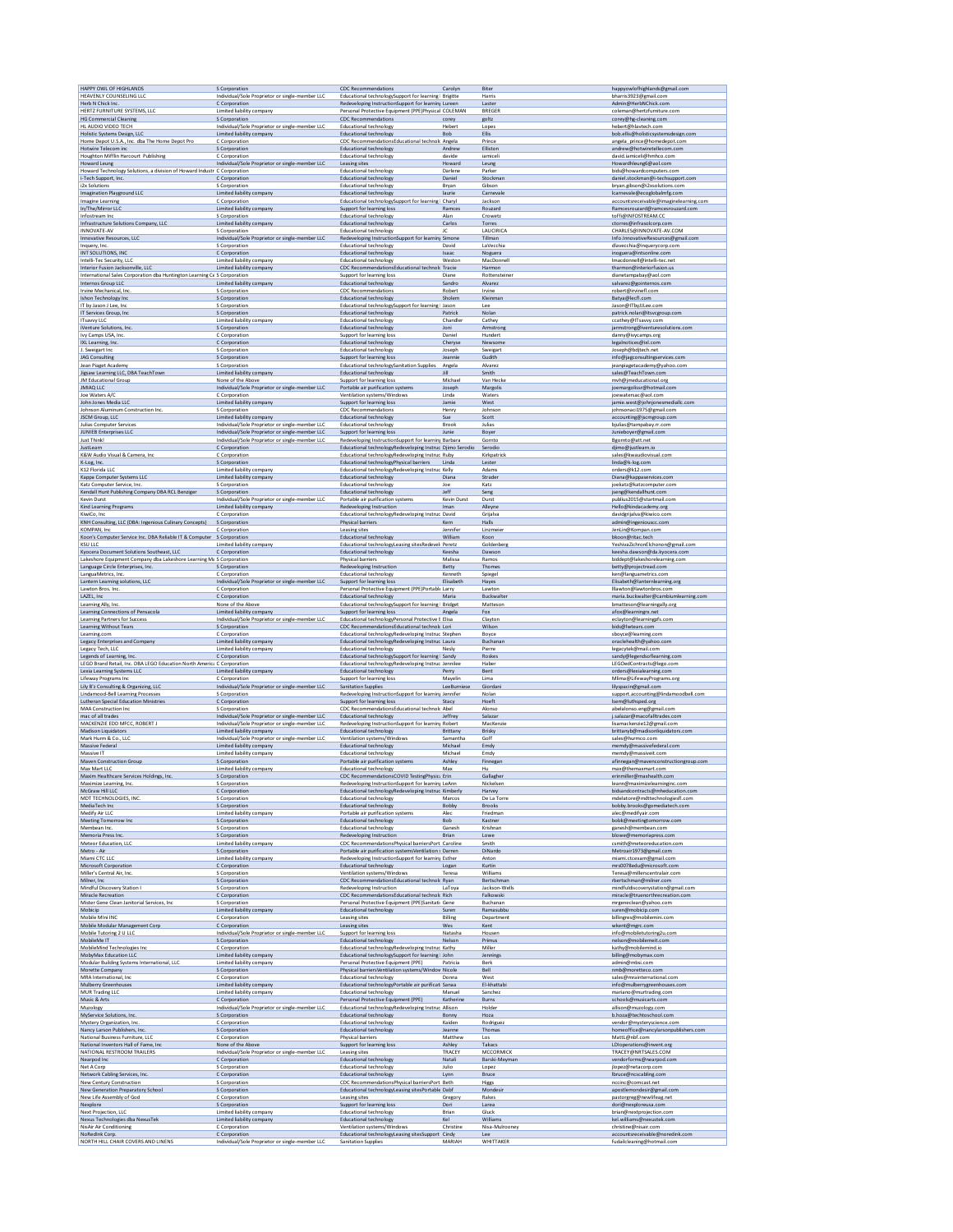| HAPPY OWL OF HIGHLANDS                                                                                                                  | S Corporation                                                                                                                   | <b>CDC Recommendations</b>                                                                                                                                                  | Carolyn                     | Biter                                | happyowlofhighlands@gmail.com                                                                            |
|-----------------------------------------------------------------------------------------------------------------------------------------|---------------------------------------------------------------------------------------------------------------------------------|-----------------------------------------------------------------------------------------------------------------------------------------------------------------------------|-----------------------------|--------------------------------------|----------------------------------------------------------------------------------------------------------|
| HEAVENLY COUNSELING LLC                                                                                                                 | Individual/Sole Proprietor or single-member LLC                                                                                 | Educational technologySupport for learning   Brigitte                                                                                                                       |                             | Harris                               | bharris3923@gmail.com                                                                                    |
| Herb N Chick Inc.                                                                                                                       | C Corporation                                                                                                                   | Redeveloping InstructionSupport for learning Lureen                                                                                                                         | corey                       | Laster                               | Admin@HerbNChick.com                                                                                     |
| HERTZ FURNITURE SYSTEMS, LLC                                                                                                            | Limited liability company                                                                                                       | Personal Protective Equipment (PPE)Physical COLEMAN                                                                                                                         |                             | <b>BREGER</b>                        | coleman@hertzfurniture.com                                                                               |
| <b>HG Commercial Cleaning</b>                                                                                                           | S Corporation                                                                                                                   | <b>CDC Recommendations</b>                                                                                                                                                  |                             | goltz                                | corey@hg-cleaning.com                                                                                    |
| HL AUDIO VIDEO TECH                                                                                                                     | Individual/Sole Proprietor or single-member LLC                                                                                 | <b>Educational technology</b>                                                                                                                                               | Hebert                      | Lopes                                | hebert@hlavtech.com                                                                                      |
| Holistic Systems Design, LLC                                                                                                            | Limited liability company                                                                                                       | <b>Educational technology</b>                                                                                                                                               | Bob                         | Ellis                                | bob.ellis@holisticsystemsdesign.com                                                                      |
| Home Depot U.S.A., Inc. dba The Home Depot Pro                                                                                          | C Corporation                                                                                                                   | CDC RecommendationsEducational technolc Angela                                                                                                                              | Andrew                      | Prince                               | angela prince@homedepot.com                                                                              |
| Hotwire Telecom inc                                                                                                                     | S Corporation                                                                                                                   | <b>Educational technology</b>                                                                                                                                               |                             | Elliston                             | andrew@hotwiretellecom.com                                                                               |
| Houghton Mifflin Harcourt Publishing<br><b>Howard Leung</b><br>Howard Technology Solutions, a division of Howard Industri C Corporation | C Corporation<br>Individual/Sole Proprietor or single-member LLC                                                                | <b>Educational technology</b><br>Leasing sites<br><b>Educational technology</b>                                                                                             | davide<br>Howard<br>Darlene | iamiceli<br>Leung<br>Parker          | david.iamiceli@hmhco.com<br>Howardhleung6@aol.com<br>bids@howardcomputers.com                            |
| i-Tech Support, Inc.                                                                                                                    | C Corporation                                                                                                                   | <b>Educational technology</b>                                                                                                                                               | Daniel                      | Stockman                             | daniel.stockman@i-techsupport.com                                                                        |
| i2x Solutions                                                                                                                           | S Corporation                                                                                                                   | <b>Educational technology</b>                                                                                                                                               | Bryan                       | Gibson                               | bryan.gibson@i2xsolutions.com                                                                            |
| Imagination Playground LLC<br>Imagine Learning<br>In/The/Mirror LLC                                                                     | Limited liability company<br>C Corporation<br>Limited liability company                                                         | <b>Educational technology</b><br>Educational technologySupport for learning   Charyl                                                                                        | laurie                      | Carnevale<br>Jackson<br>Rouzard      | Icarnevale@ecoglobalmfg.com<br>accountsreceivable@imaginelearning.com<br>Ramcesrouzard@ramcesrouzard.com |
| Infostream Inc<br>Infrastructure Solutions Company, LLC                                                                                 | S Corporation<br>Limited liability company                                                                                      | Support for learning loss<br><b>Educational technology</b><br><b>Educational technology</b>                                                                                 | Ramces<br>Alan<br>Carlos    | Crowetz<br>Torres                    | toffi@INFOSTREAM.CC<br>ctorres@infrasolcorp.com                                                          |
| INNOVATE-AV                                                                                                                             | S Corporation                                                                                                                   | <b>Educational technology</b>                                                                                                                                               | JC                          | LAUCIRICA                            | CHARLES@INNOVATE-AV.COM                                                                                  |
| Innovative Resources, LLC                                                                                                               | Individual/Sole Proprietor or single-member LLC                                                                                 | Redeveloping InstructionSupport for learning Simone                                                                                                                         |                             | Tillman                              | Info.InnovativeResources@gmail.com                                                                       |
| Inquery, Inc.                                                                                                                           | S Corporation                                                                                                                   | Educational technology                                                                                                                                                      | David                       | LaVecchia                            | dlavecchia@inquerycorp.com                                                                               |
| INT SOLUTIONS, INC                                                                                                                      | C Corporation                                                                                                                   | <b>Educational technology</b>                                                                                                                                               | Isaac                       | Noguera                              | inoguera@intsonline.com                                                                                  |
| Intelli-Tec Security, LLC                                                                                                               | Limited liability company                                                                                                       | <b>Educational technology</b>                                                                                                                                               | Weston                      | MacDonnell                           | Imacdonnell@intelli-tec.net                                                                              |
| Interior Fusion Jacksonville, LLC<br>International Sales Corporation dba Huntington Learning Ce S Corporation                           | Limited liability company                                                                                                       | CDC RecommendationsEducational technolc Tracie<br>Support for learning loss                                                                                                 | Diane                       | Harmon<br>Rottensteiner              | tharmon@interiorfusion.us<br>dianetampabay@aol.com                                                       |
| Internos Group LLC<br>Irvine Mechanical, Inc.                                                                                           | Limited liability company<br>S Corporation                                                                                      | <b>Educational technology</b><br><b>CDC Recommendations</b>                                                                                                                 | Sandro<br>Robert<br>Sholem  | Alvarez<br>Irvine<br>Kleinman        | salvarez@gointernos.com<br>robert@irvinefl.com                                                           |
| Ishon Technology Inc.<br>IT by Jason J Lee, Inc.<br>IT Services Group, Inc.                                                             | S Corporation<br>S Corporation<br>S Corporation                                                                                 | <b>Educational technology</b><br>Educational technologySupport for learning I Jason<br><b>Educational technology</b>                                                        | Patrick                     | Lee<br>Nolan                         | Batya@lecfl.com<br>Jason@ITbyJJLee.com<br>patrick.nolan@itsvcgroup.com                                   |
| <b>ITsavvy LLC</b>                                                                                                                      | Limited liability company                                                                                                       | Educational technology                                                                                                                                                      | Chandler                    | Cathey                               | ccathey@ITsavvy.com                                                                                      |
| Nenture Solutions, Inc.                                                                                                                 | S Corporation                                                                                                                   | <b>Educational technology</b>                                                                                                                                               | Joni                        | Armstrong                            | jarmstrong@iventuresolutions.com                                                                         |
| Ivy Camps USA, Inc.<br>IXL Learning, Inc.                                                                                               | C Corporation<br>C Corporation<br>S Corporation                                                                                 | Support for learning loss<br><b>Educational technology</b><br><b>Educational technology</b>                                                                                 | Daniel<br>Cheryse<br>Joseph | Hundert<br>Newsome<br>Sweigart       | danny@ivycamps.org<br>legalnotices@ixl.com<br>Joseph@bdjtech.net                                         |
| J. Sweigart Inc.<br><b>JAG Consulting</b><br>Jean Piaget Academy                                                                        | S Corporation<br>S Corporation                                                                                                  | Support for learning loss<br>Educational technologySanitation Supplies Angela                                                                                               | Jeannie                     | Gudith<br>Alvarez                    | info@jagconsultingservices.com<br>jeanpiagetacademy@yahoo.com                                            |
| Jigsaw Learning LLC, DBA TeachTown                                                                                                      | Limited liability company                                                                                                       | <b>Educational technology</b>                                                                                                                                               | Jill                        | Smith                                | sales@TeachTown.com                                                                                      |
| <b>JM Educational Group</b>                                                                                                             | None of the Above                                                                                                               | Support for learning loss                                                                                                                                                   | Michael                     | Van Hecke                            | mvh@jmeducational.org                                                                                    |
| <b>JMIAQ LLC</b>                                                                                                                        | Individual/Sole Proprietor or single-member LLC                                                                                 | Portable air purification systems                                                                                                                                           | Joseph                      | Margolis                             | joemargolissr@hotmail.com                                                                                |
| Joe Waters A/C                                                                                                                          | C Corporation                                                                                                                   | Ventilation systems/Windows                                                                                                                                                 | Linda                       | Waters                               | joewatersac@aol.com                                                                                      |
| John Jones Media LLC                                                                                                                    | Limited liability company                                                                                                       | Support for learning loss                                                                                                                                                   | Jamie                       | West                                 | jamie.west@johnjonesmediallc.com                                                                         |
| Johnson Aluminum Construction Inc.                                                                                                      | S Corporation                                                                                                                   | <b>CDC</b> Recommendations                                                                                                                                                  | Henry                       | Johnson                              | johnsonaci1975@gmail.com                                                                                 |
| <b>JSCM Group, LLC</b>                                                                                                                  | Limited liability company                                                                                                       | <b>Educational technology</b>                                                                                                                                               | Sue                         | Scott                                | accounting@jscmgroup.com                                                                                 |
| Julias Computer Services                                                                                                                | Individual/Sole Proprietor or single-member LLC                                                                                 | <b>Educational technology</b>                                                                                                                                               | Brook                       | Julias                               | bjulias@tampabay.rr.com                                                                                  |
| JUNIEB Enterprises LLC                                                                                                                  | Individual/Sole Proprietor or single-member LLC                                                                                 | Support for learning loss                                                                                                                                                   | Junie                       | Boyer                                | Junieboyer@gmail.com                                                                                     |
| Just Think!<br>JustLearn                                                                                                                | Individual/Sole Proprietor or single-member LLC<br>C Corporation                                                                | Redeveloping InstructionSupport for learning Barbara<br>Educational technologyRedeveloping Instruc Djimo Serodio Serodio<br>Educational technologyRedeveloping Instruc Ruby |                             | Gornto                               | Bgomto@att.net<br>djimo@justlearn.io                                                                     |
| K&W Audio Visual & Camera, Inc.<br>K-Log Inc.<br>K12 Florida LLC                                                                        | C Corporation<br>S Corporation<br>Limited liability company                                                                     | Educational technologyPhysical barriers Linda<br>Educational technologyRedeveloping Instruc Kelly                                                                           |                             | Kirkpatrick<br>Lester<br>Adams       | sales@kwaudiovisual.com<br>linda@k-log.com<br>orders@k12.com                                             |
| Kappa Computer Systems LLC                                                                                                              | Limited liability company                                                                                                       | <b>Educational technology</b>                                                                                                                                               | Diana                       | Strader                              | Diana@kappaservices.com                                                                                  |
| Katz Computer Service, Inc.                                                                                                             | S Corporation                                                                                                                   | <b>Educational technology</b>                                                                                                                                               | Joe                         | Katz                                 | joekatz@katzcomputer.com                                                                                 |
| Kendall Hunt Publishing Company DBA RCL Benziger<br>Kevin Durst<br>Kind Learning Programs                                               | S Corporation<br>Individual/Sole Proprietor or single-member LLC                                                                | <b>Educational technology</b><br>Portable air purification systems                                                                                                          | Jeff<br>Kevin Durst         | Seng<br>Durst<br>Alleyne             | jseng@kendallhunt.com<br>publius2015@startmail.com<br>Hello@kindacademy.org                              |
| KiwiCo, Inc.<br>KNH Consulting, LLC (DBA: Ingenious Culinary Concepts) S Corporation                                                    | Limited liability company<br>C Corporation                                                                                      | Redeveloping Instruction<br>Educational technologyRedeveloping Instruc David<br>Physical barriers                                                                           | Iman<br>Kern                | Grijalva<br>Halls                    | davidgrijalva@kiwico.com<br>admin@ingeniouscc.com                                                        |
| KOMPAN, Inc.                                                                                                                            | C Corporation                                                                                                                   | Leasing sites                                                                                                                                                               | Jennifer                    | Linzmeier                            | JenLin@Kompan.com                                                                                        |
| Koon's Computer Service Inc. DBA Reliable IT & Computer S Corporation                                                                   |                                                                                                                                 | <b>Educational technology</b>                                                                                                                                               | William                     | Koon                                 | bkoon@ritac.tech                                                                                         |
| <b>KSU LLC</b><br>Kyocera Document Solutions Southeast, LLC<br>Lakeshore Equipment Company dba Lakeshore Learning Ma S Corporation      | Limited liability company<br>C Corporation                                                                                      | Educational technologyLeasing sitesRedevel: Peretz<br><b>Educational technology</b><br>Physical barriers                                                                    | Keesha<br>Malissa           | Goldenberg<br>Dawson<br>Ramos        | YeshivaZichronElchonon@gmail.com<br>keesha.dawson@da.kyocera.com<br>biddept@lakeshorelearning.com        |
| Language Circle Enterprises, Inc.                                                                                                       | S Corporation                                                                                                                   | Redeveloping Instruction                                                                                                                                                    | Betty                       | Thomes                               | betty@projectread.com                                                                                    |
| LanguaMetrics, Inc.                                                                                                                     | C Corporation                                                                                                                   | <b>Educational technology</b>                                                                                                                                               | Kenneth                     | Spiegel                              | ken@languametrics.com                                                                                    |
| Lantern Learning solutions, LLC                                                                                                         | Individual/Sole Proprietor or single-member LLC                                                                                 | Support for learning loss                                                                                                                                                   | Elisabeth                   | Hayes                                | Elisabeth@lanternlearning.org                                                                            |
| Lawton Bros. Inc.                                                                                                                       | C Corporation                                                                                                                   | Personal Protective Equipment (PPE)Portable Larry                                                                                                                           |                             | Lawton                               | Illawton@lawtonbros.com                                                                                  |
| LAZEL, Inc.<br>Learning Ally, Inc.<br>Learning Connections of Pensacola                                                                 | C Corporation<br>None of the Above<br>Limited liability company                                                                 | Educational technology<br>Educational technologySupport for learning   Bridget<br>Support for learning loss                                                                 | Maria<br>Angela             | Buckwalter<br>Matteson<br>Fox        | maria.buckwalter@cambiumlearning.com<br>bmatteson@learningally.org<br>afox@learningrx.net                |
| Learning Partners for Success                                                                                                           | Individual/Sole Proprietor or single-member LLC                                                                                 | Educational technologyPersonal Protective E Elisa                                                                                                                           |                             | Clayton                              | eclayton@learningpfs.com                                                                                 |
| Learning Without Tears                                                                                                                  | S Corporation                                                                                                                   | CDC RecommendationsEducational technolc Lori                                                                                                                                |                             | Wilson                               | bids@lwtears.com                                                                                         |
| Learning.com                                                                                                                            | C Corporation                                                                                                                   | Educational technologyRedeveloping Instruc Stephen                                                                                                                          |                             | Boyce                                | sboyce@learning.com                                                                                      |
| Legacy Enterprises and Company                                                                                                          | Limited liability company                                                                                                       | Educational technologyRedeveloping Instruc Laura                                                                                                                            |                             | Buchanar                             | oraclehealth@yahoo.com                                                                                   |
| Legacy Tech, LLC<br>Legends of Learning, Inc.<br>LEGO Brand Retail, Inc. DBA LEGO Education North America C Corporation                 | Limited liability company<br>C Corporation                                                                                      | Educational technology<br>Educational technologySupport for learning   Sandy<br>Educational technologyRedeveloping Instruc_Jennilee                                         | Nesly                       | Pierre<br>Roskes<br>Haber            | legacytek@mail.com<br>sandy@legendsoflearning.com<br>LEGOedContracts@lego.com                            |
| Lexia Learning Systems LLC                                                                                                              | Limited liability company                                                                                                       | <b>Educational technology</b>                                                                                                                                               | Perry                       | Bent                                 | orders@lexialearning.com                                                                                 |
| Lifeway Programs Inc                                                                                                                    | C Corporation                                                                                                                   | Support for learning loss                                                                                                                                                   | Mayelin                     | Lima                                 | Mlima@LifewayPrograms.org                                                                                |
| Lily B'z Consulting & Organizing, LLC                                                                                                   | Individual/Sole Proprietor or single-member LLC                                                                                 | <b>Sanitation Supplies</b>                                                                                                                                                  | LeeBurniese                 | Giordani                             | lilyspacin@gmail.com                                                                                     |
| Lindamood-Bell Learning Processes                                                                                                       | S Corporation                                                                                                                   | Redeveloping InstructionSupport for learning Jennifer                                                                                                                       |                             | Nolan                                | support.accounting@lindamoodbell.com                                                                     |
| Lutheran Special Education Ministries<br><b>MAA Construction Inc.</b>                                                                   | C Corporation<br>S Corporation                                                                                                  | Support for learning loss<br>CDC RecommendationsEducational technolc Abel<br><b>Educational technology</b>                                                                  | Stacy                       | Hoeft<br>Alonso<br>Salazar           | Isem@luthsped.org<br>abelalonso.eng@gmail.com                                                            |
| mac of all trades<br>MACKENZIE EDD MFCC, ROBERT J<br><b>Madison Liquidators</b>                                                         | Individual/Sole Proprietor or single-member LLC<br>Individual/Sole Proprietor or single-member LLC<br>Limited liability company | Redeveloping InstructionSupport for learning Robert<br><b>Educational technology</b>                                                                                        | Jeffrey<br>Brittany         | MacKenzie<br>Brisky                  | j.salazar@macofalltrades.com<br>lisamackenzie12@gmail.com<br>brittanyb@madisonliquidators.com            |
| Mark Hurm & Co., LLC                                                                                                                    | Individual/Sole Proprietor or single-member LLC                                                                                 | Ventilation systems/Windows                                                                                                                                                 | Samantha                    | Goff                                 | sales@hurmco.com                                                                                         |
| Massive Federal                                                                                                                         | Limited liability company                                                                                                       | <b>Educational technology</b>                                                                                                                                               | Michael                     | Emdy                                 | memdy@massivefederal.com                                                                                 |
| Massive IT<br>Maven Construction Group                                                                                                  | Limited liability company<br>S Corporation                                                                                      | <b>Educational technology</b><br>Portable air purification systems                                                                                                          | Michael<br>Ashley<br>Max    | Emdy<br>Finnegan                     | memdy@massiveit.com<br>afinnegan@mavenconstructiongroup.com                                              |
| Max Mart LLC                                                                                                                            | Limited liability company                                                                                                       | <b>Educational technology</b>                                                                                                                                               |                             | Hu                                   | max@themaxmart.com                                                                                       |
| Maxim Healthcare Services Holdings, Inc.                                                                                                | S Corporation                                                                                                                   | CDC RecommendationsCOVID TestingPhysic: Erin                                                                                                                                |                             | Gallagher                            | erinmiller@maxhealth.com                                                                                 |
| Maximize Learning, Inc.                                                                                                                 | Comoration                                                                                                                      | Redeveloping InstructionSupport for learning LeAnn                                                                                                                          |                             | Nickelsen                            | leann@maximizelearninginc.com                                                                            |
| McGraw Hill LLC                                                                                                                         | C Corporation                                                                                                                   | Educational technologyRedeveloping Instruc Kimberly                                                                                                                         | Marcos                      | Harvey                               | bidsandcontracts@mheducation.com                                                                         |
| MDT TECHNOLOGIES, INC                                                                                                                   | S Corporation                                                                                                                   | <b>Educational technology</b>                                                                                                                                               |                             | De La Torre                          | mdelatore@mdttechnologiesfl.com                                                                          |
| MediaTech Inc<br>Medify Air LLC                                                                                                         | S Corporation<br>Limited liability company<br>S Corporation                                                                     | <b>Educational technology</b><br>Portable air purification systems<br>Educational technology                                                                                | Bobby<br>Alec<br>Bob        | <b>Brooks</b><br>Friedman<br>Kastner | bobby.brooks@gomediatech.com<br>alec@medifyair.com                                                       |
| Meeting Tomorrow Inc<br>Membean Inc.<br>Memoria Press Inc.                                                                              | S Corporation<br>S Corporation                                                                                                  | <b>Educational technology</b><br>Redeveloping Instruction                                                                                                                   | Ganesh<br>Brian             | Krishnan<br>Lowe                     | bobk@meetingtomorrow.com<br>ganesh@membean.com<br>blowe@memoriapress.com                                 |
| Meteor Education, LLC                                                                                                                   | Limited liability company                                                                                                       | CDC RecommendationsPhysical barriersPort Caroline                                                                                                                           |                             | Smith                                | csmith@meteoreducation.com                                                                               |
| Metro - Air                                                                                                                             | S Corporation                                                                                                                   | Portable air purification systems Ventilation s Darren                                                                                                                      |                             | DiNardo                              | Metroair1973@gmail.com                                                                                   |
| Miami CTC LLC<br>Microsoft Corporation                                                                                                  | Limited liability company<br>C Corporation<br>S Corporation                                                                     | Redeveloping InstructionSupport for learning Esther<br><b>Educational technology</b>                                                                                        | Logan<br>Teresa             | Anton<br>Kurtin<br>Williams          | miami.ctcexam@gmail.com<br>mrs0078edu@microsoft.com                                                      |
| Miller's Central Air, Inc.<br>Milner, Inc.<br>Mindful Discovery Station I                                                               | S Corporation<br>S Corporation                                                                                                  | Ventilation systems/Windows<br>CDC RecommendationsEducational technolc Ryan<br>Redeveloping Instruction                                                                     | LaToya                      | Bertschman<br>Jackson-Wells          | Teresa@millerscentralair.com<br>rbertschman@milner.com<br>mindfuldiscoverystation@gmail.com              |
| Miracle Recreation                                                                                                                      | C Corporation                                                                                                                   | CDC RecommendationsEducational technolc Rich                                                                                                                                |                             | Falkowski                            | miracle@truenorthrecreation.com                                                                          |
| Mister Gene Clean Janitorial Services, Inc.                                                                                             | S Corporation                                                                                                                   | Personal Protective Equipment (PPE)Sanitati: Gene                                                                                                                           |                             | Buchanan                             | mrgeneclean@yahoo.com                                                                                    |
| Mobicip                                                                                                                                 | Limited liability company                                                                                                       | <b>Educational technology</b>                                                                                                                                               | Suren                       | Ramasubbu                            | suren@mobicip.com                                                                                        |
| Mobile Mini INC                                                                                                                         | C Corporation                                                                                                                   | Leasing sites                                                                                                                                                               | Billing                     | Department                           | billingres@mobilemini.com                                                                                |
| Mobile Modular Management Corp                                                                                                          | C Corporation                                                                                                                   | Leasing sites                                                                                                                                                               | Wes                         | Kent                                 | wkent@mgrc.com                                                                                           |
| Mobile Tutoring 2 U LLC                                                                                                                 | Individual/Sole Proprietor or single-member LLC                                                                                 | Support for learning loss                                                                                                                                                   | Natasha                     | Housen                               | info@mobiletutoring2u.com                                                                                |
| MobileMe IT                                                                                                                             | S Corporation                                                                                                                   | <b>Educational technology</b>                                                                                                                                               | Nelson                      | Primus                               | nelson@mobilemeit.com                                                                                    |
| MobileMind Technologies Inc                                                                                                             | C Corporation                                                                                                                   | Educational technologyRedeveloping Instruc Kathy                                                                                                                            |                             | Miller                               | kathy@mobilemind.io                                                                                      |
| MobyMax Education LLC                                                                                                                   | Limited liability company                                                                                                       | Educational technologySupport for learning   John                                                                                                                           |                             | Jennings                             | billing@mobymax.com                                                                                      |
| Modular Building Systems International, LLC<br>Morette Company<br>MRA International, Inc.                                               | Limited liability company<br>S Corporation<br>C Corporation                                                                     | Personal Protective Equipment (PPE)<br>Physical barriers Ventilation systems/Window Nicole<br>Educational technology                                                        | Patricia<br>Donna           | Berk<br>Bell<br>West                 | admin@mbsi.com<br>nmb@moretteco.com<br>sales@mrainternational.com                                        |
| Mulberry Greenhouses                                                                                                                    | Limited liability company                                                                                                       | Educational technologyPortable air purificati Sanaa                                                                                                                         | Manuel                      | El-khattabi                          | info@mulberrygreenhouses.com                                                                             |
| MUR Trading LLC                                                                                                                         | Limited liability company                                                                                                       | Educational technology                                                                                                                                                      |                             | Sanchez                              | mariano@murtrading.com                                                                                   |
| Music & Arts                                                                                                                            | C Corporation                                                                                                                   | Personal Protective Equipment (PPE)                                                                                                                                         | Katherine                   | Burns                                | schools@musicarts.com                                                                                    |
| Muzology                                                                                                                                | Individual/Sole Proprietor or single-member LLC                                                                                 | Educational technologyRedeveloping Instruc Allison                                                                                                                          |                             | Holder                               | allison@muzology.com                                                                                     |
| MyService Solutions, Inc.                                                                                                               | S Corporation                                                                                                                   | <b>Educational technology</b>                                                                                                                                               | Bonny                       | Hoza                                 | b.hoza@techtoschool.com                                                                                  |
| Mystery Organization, Inc.                                                                                                              | C Corporation                                                                                                                   | Educational technology                                                                                                                                                      | Kaiden                      | Rodriguez                            | vendor@mysteryscience.com                                                                                |
| Nancy Larson Publishers, Inc.                                                                                                           | S Corporation                                                                                                                   | <b>Educational technology</b>                                                                                                                                               | Jeanne                      | Thomas                               | homeoffice@nancylarsonpublishers.com                                                                     |
| National Business Furniture, LLC                                                                                                        | C Corporation                                                                                                                   | Physical barriers                                                                                                                                                           | Matthew                     | Los                                  | MattL@nbf.com                                                                                            |
| National Inventors Hall of Fame, Inc.                                                                                                   | None of the Above                                                                                                               | Support for learning loss                                                                                                                                                   | Ashley                      | Takacs                               | LDIoperations@invent.org                                                                                 |
| NATIONAL RESTROOM TRAILERS                                                                                                              | Individual/Sole Proprietor or single-member LLC                                                                                 | Leasing sites                                                                                                                                                               | TRACEY                      | MCCORMICK                            | TRACEY@NRTSALES.COM                                                                                      |
| Nearpod Inc.                                                                                                                            | C Corporation                                                                                                                   | Educational technology                                                                                                                                                      | Natali                      | Barski-Meyman                        | vendorforms@nearpod.com                                                                                  |
| Net A Corp                                                                                                                              | S Corporation                                                                                                                   | <b>Educational technology</b>                                                                                                                                               | Julio                       | Lopez                                | jlopez@netacorp.com                                                                                      |
| Network Cabling Services, Inc.                                                                                                          | C Corporation                                                                                                                   | <b>Educational technology</b>                                                                                                                                               | Lynn                        | Bruce                                | Ibruce@ncscabling.com                                                                                    |
| New Century Construction                                                                                                                | S Corporation                                                                                                                   | CDC RecommendationsPhysical barriersPort Beth                                                                                                                               | Gregory                     | Higgs                                | nccinc@comcast.net                                                                                       |
| New Generation Preparatory School                                                                                                       | S Corporation                                                                                                                   | Educational technologyLeasing sitesPortable Dabf                                                                                                                            |                             | Mondesin                             | apostlemondesir@gmail.com                                                                                |
| New Life Assembly of God                                                                                                                | C Corporation                                                                                                                   | Leasing sites                                                                                                                                                               |                             | Rakes                                | pastorgreg@newlifeag.net                                                                                 |
| Nexplore                                                                                                                                | S Corporation                                                                                                                   | Support for learning loss                                                                                                                                                   | Dori                        | Larea                                | dori@nexploreusa.com                                                                                     |
| Next Projection, LLC                                                                                                                    | Limited liability company                                                                                                       | <b>Educational technology</b>                                                                                                                                               | Brian                       | Gluck                                | brian@nextprojection.com                                                                                 |
| Nexus Technologies dba NexusTek                                                                                                         | Limited liability company                                                                                                       | <b>Educational technology</b>                                                                                                                                               | Kel                         | Williams                             | kel.williams@nexustek.com                                                                                |
| NisAir Air Conditioning                                                                                                                 | C Corporation                                                                                                                   | Ventilation systems/Windows                                                                                                                                                 | Christine                   | Nisa-Mulrooney                       | christine@nisair.com                                                                                     |
| NoRedink Corp.                                                                                                                          | C Corporation                                                                                                                   | Educational technologyLeasing sitesSupport Cindy                                                                                                                            |                             | Lee                                  | accountsreceivable@noredink.com                                                                          |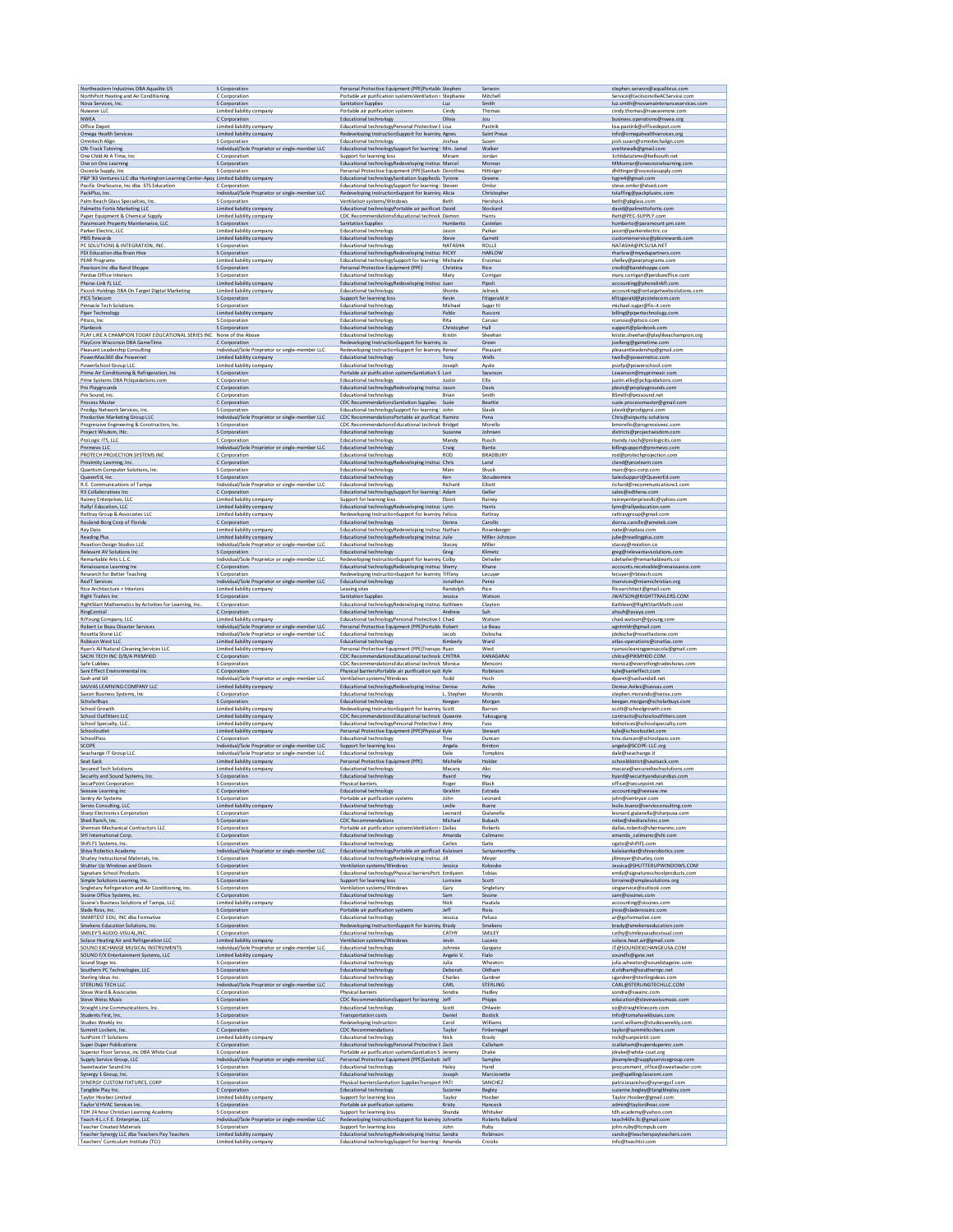| Northeastern Industries DBA Aqualite US                                                                               | S Corporation                                                                                                                   | Personal Protective Equipment (PPE)Portable Stephen                                                                                                   |                            | Serwon                              | stephen.serwon@aqualiteus.com                                                        |
|-----------------------------------------------------------------------------------------------------------------------|---------------------------------------------------------------------------------------------------------------------------------|-------------------------------------------------------------------------------------------------------------------------------------------------------|----------------------------|-------------------------------------|--------------------------------------------------------------------------------------|
| NorthPort Heating and Air Conditioning                                                                                | C Corporation                                                                                                                   | Portable air purification systems Ventilation s Stephanie                                                                                             |                            | Mitchell                            | Service@JacksonvilleACService.com                                                    |
| Nova Services, Inc.                                                                                                   | S Corporation                                                                                                                   | <b>Sanitation Supplies</b>                                                                                                                            | Luz                        | Smith                               | luz.smith@novamaintenanceservices.com                                                |
| Nuwave LLC                                                                                                            | Limited liability company                                                                                                       | Portable air purification systems                                                                                                                     | Cindy                      | Thomas                              | cindy.thomas@nuwavenow.com                                                           |
| <b>NWEA</b>                                                                                                           | C Corporation                                                                                                                   | <b>Educational technology</b>                                                                                                                         | Olivia                     | Jou                                 | business.operations@nwea.org                                                         |
| Office Depot                                                                                                          | Limited liability company                                                                                                       | Educational technologyPersonal Protective E Lisa                                                                                                      |                            | Pastirik                            | lisa.pastirik@officedepot.com                                                        |
| Omega Health Services                                                                                                 | Limited liability company                                                                                                       | Redeveloping InstructionSupport for learning Agnes                                                                                                    |                            | Saint Preux                         | info@omegahealthservices.org                                                         |
| Omnitech Align                                                                                                        | S Corporation                                                                                                                   | Educational technology                                                                                                                                | Joshua                     | Susen                               | josh.susen@omnitechalign.com                                                         |
| <b>ON-Track Tutoring</b>                                                                                              | Individual/Sole Proprietor or single-member LLC                                                                                 | Educational technologySupport for learning   Mrs. Jamel                                                                                               |                            | Walker                              | yvettewalk@gmail.com                                                                 |
| One Child At A TIme, In                                                                                               | C Corporation                                                                                                                   | Support for learning loss                                                                                                                             | Miriam                     | Jordan                              | 1childatatime@bellsouth.net                                                          |
| One on One Learning                                                                                                   | S Corporation                                                                                                                   | Educational technologyRedeveloping Instruc Marcel                                                                                                     |                            | Monnar                              | MMonnar@oneononelearning.com                                                         |
| Osceola Supply, Inc.<br>P&P '83 Ventures LLC dba Huntington Learning Center-Apop Limited liability company            | S Corporation                                                                                                                   | Personal Protective Equipment (PPE)Sanitati: Dorothea<br>Educational technologySanitation SuppliesSu Tyrone                                           |                            | Hittinger<br>Greene                 | dhittinger@osceolasupply.com<br>tygre4@gmail.com                                     |
| Pacific OneSource, Inc dba. STS Education                                                                             | C Corporation                                                                                                                   | Educational technologySupport for learning   Steven                                                                                                   |                            | Omlor                               | steve.omlor@stsed.com                                                                |
| PackPlus, Inc.                                                                                                        | Individual/Sole Proprietor or single-member LLC                                                                                 | Redeveloping InstructionSupport for learning Alicia                                                                                                   |                            | Christophe                          | tstaffing@packplusinc.com                                                            |
| Palm Beach Glass Specialties, Inc.                                                                                    | S Corporation                                                                                                                   | Ventilation systems/Windows                                                                                                                           | Beth                       | Hershock                            | beth@pbglass.com                                                                     |
| Palmetto Fortis Marketing LLC                                                                                         | Limited liability company                                                                                                       | Educational technologyPortable air purificati David                                                                                                   |                            | Stockard                            | david@palmettofortis.com                                                             |
| Paper Equipment & Chemical Supply                                                                                     | Limited liability company                                                                                                       | CDC RecommendationsEducational technolc Damon                                                                                                         | Humberto                   | Harris                              | Rett@PEC-SUPPLY.com                                                                  |
| Paramount Property Maintenance, LLC                                                                                   | S Corporation                                                                                                                   | <b>Sanitation Supplies</b>                                                                                                                            |                            | Castelan                            | humberto@paramount-pm.com                                                            |
| Parker Electric, LLC                                                                                                  | Limited liability company                                                                                                       | <b>Educational technology</b>                                                                                                                         | Jason                      | Parker                              | jason@parkerelectric.co                                                              |
| <b>PBIS Rewards</b>                                                                                                   | Limited liability company                                                                                                       | <b>Educational technology</b>                                                                                                                         | Steve                      | Garrett                             | customerservice@pbisrewards.com                                                      |
| PC SOLUTIONS & INTEGRATION, INC.<br>PDI Education dba Brain Hive<br><b>PEAR Programs</b>                              | S Corporation<br>S Corporation<br>Limited liability company                                                                     | Educational technology<br>Educational technologyRedeveloping Instruc RICKY                                                                            | NATASHA                    | ROLLE<br><b>HARLOW</b><br>Erasmus   | NATASHA@PCSUSA.NET<br>rharlow@myedupartners.com<br>shelley@pearprograms.com          |
| Pearison Inc dba Band Shoppe<br>Perdue Office Interiors                                                               | S Corporation<br>S Corporation                                                                                                  | Educational technologySupport for learning   Michaele<br>Personal Protective Equipment (PPE)<br>Educational technology                                | Christina<br>Mary          | Rice<br>Corrigan                    | credit@bandshoppe.com<br>mary.corrigan@perdueoffice.com                              |
| Phone-Link FL LLC                                                                                                     | Limited liability company                                                                                                       | Educational technologyRedeveloping Instruc Juan                                                                                                       | Shonte                     | Pipoli                              | accounting@phonelinkfl.com                                                           |
| Piccoli Holdings DBA On Target Digital Marketing                                                                      | Limited liability company                                                                                                       | Educational technology                                                                                                                                |                            | Jelneck                             | accounting@ontargetwebsolutions.com                                                  |
| PICS Telecom                                                                                                          | S Corporation                                                                                                                   | Support for learning loss                                                                                                                             | Kevin                      | Fitzgerald Jr                       | kfitzgerald@picstelecom.com                                                          |
| <b>Pinnacle Tech Solutions</b>                                                                                        | S Corporation                                                                                                                   | <b>Educational technology</b>                                                                                                                         | Michael                    | Sugar III                           | michael.sugar@fic-it.com                                                             |
| Piper Technology                                                                                                      | Limited liability company                                                                                                       | <b>Educational technology</b>                                                                                                                         | Pablo                      | Rusconi                             | billing@pipertechnology.com                                                          |
| Pitsco, Inc.                                                                                                          | S Corporation                                                                                                                   | Educational technology                                                                                                                                | Rita                       | Caruso                              | rcaruso@pitsco.com                                                                   |
| Planbook                                                                                                              | S Corporation                                                                                                                   | <b>Educational technology</b>                                                                                                                         | Christopher                | Hall                                | support@planbook.com                                                                 |
| PLAY LIKE A CHAMPION TODAY EDUCATIONAL SERIES INC None of the Above                                                   |                                                                                                                                 | Educational technology                                                                                                                                | Kristin                    | Sheehan                             | kristin.sheehan@playlikeachampion.org                                                |
| PlayCore Wisconsin DBA GameTime                                                                                       | C Corporation                                                                                                                   | Redeveloping InstructionSupport for learning Jo                                                                                                       |                            | Green                               | joelleng@gametime.com                                                                |
| Pleasant Leadership Consulting                                                                                        | Individual/Sole Proprietor or single-member LLC                                                                                 | Redeveloping InstructionSupport for learning Renee'                                                                                                   |                            | Pleasant                            | pleasantleadership@gmail.com                                                         |
| PowerMax360 dba Powernet                                                                                              | Limited liability company                                                                                                       | <b>Educational technology</b>                                                                                                                         | Tony                       | Wells                               | twells@powernetco.com                                                                |
| PowerSchool Group LLC                                                                                                 | Limited liability company                                                                                                       | Educational technology                                                                                                                                | Joseph                     | Ayala                               | pssrfp@powerschool.com                                                               |
| Prime Air Conditioning & Refrigeration, Inc.                                                                          | S Corporation                                                                                                                   | Portable air purification systemsSanitation S Lori                                                                                                    | Justir                     | Swanson                             | Lswanson@myprimeair.com                                                              |
| Prine Systems DBA Pcliquidations.com                                                                                  | C Corporation                                                                                                                   | <b>Educational technology</b>                                                                                                                         |                            | Ellis                               | justin.ellis@pcliquidations.com                                                      |
| Pro Playgrounds<br>Pro Sound, Inc.                                                                                    | C Corporation<br>C Corporation                                                                                                  | Educational technologyRedeveloping Instruc Jason<br>Educational technology                                                                            | Brian                      | Davis<br>Smith<br>Beattie           | jdavis@proplaygrounds.com<br>BSmith@prosound.net                                     |
| <b>Process Master</b><br>Prodigy Network Services, Inc.<br>Productive Marketing Group LLC                             | C Corporation<br>S Corporation<br>Individual/Sole Proprietor or single-member LLC                                               | CDC RecommendationsSanitation Supplies Suzie<br>Educational technologySupport for learning   John<br>CDC RecommendationsPortable air purificat Ramiro |                            | Slavik<br>Pena                      | suzie.processmaster@gmail.com<br>jslavik@prodigynsi.com<br>Chris@airpurity.solutions |
| Progressive Engineering & Construction, Inc.                                                                          | S Corporation                                                                                                                   | CDC RecommendationsEducational technolc Bridget                                                                                                       | Suzanne                    | Morello                             | bmorello@progressiveec.com                                                           |
| Project Wisdom, INc.                                                                                                  | S Corporation                                                                                                                   | <b>Educational technology</b>                                                                                                                         |                            | Johnsen                             | districts@projectwisdom.com                                                          |
| ProLogic ITS, LLC                                                                                                     | C Corporation                                                                                                                   | <b>Educational technology</b>                                                                                                                         | Mandy                      | Rusch                               | mandy.rusch@prologicits.com                                                          |
| Promevo LLC                                                                                                           | Individual/Sole Proprietor or single-member LLC                                                                                 | <b>Educational technology</b>                                                                                                                         | Craig                      | Banta                               | billingsupport@promevo.com                                                           |
| PROTECH PROJECTION SYSTEMS INC                                                                                        | C Corporation                                                                                                                   | <b>Educational technology</b>                                                                                                                         | <b>ROD</b>                 | <b>BRADBURY</b>                     | rod@protechprojection.com                                                            |
| Proximity Learning, Inc.                                                                                              | C Corporation                                                                                                                   | Educational technologyRedeveloping Instruc Chris                                                                                                      |                            | Land                                | cland@proxlearn.com                                                                  |
| Quantum Computer Solutions, Inc.                                                                                      | S Corporation                                                                                                                   | Educational technology                                                                                                                                | Marc                       | Shuck                               | marc@gcs-corp.com                                                                    |
| QuaverEd, Inc.                                                                                                        | S Corporation                                                                                                                   | <b>Educational technology</b>                                                                                                                         | Ken                        | Stoudenmir                          | SalesSupport@QuaverEd.com                                                            |
| R.E. Communications of Tampa                                                                                          | Individual/Sole Proprietor or single-member LLC                                                                                 | Educational technology                                                                                                                                | Richard                    | Elliott                             | richard@recommunications1.com                                                        |
| R3 Collaboratives Inc.                                                                                                | C Corporation                                                                                                                   | Educational technologySupport for learning   Adam                                                                                                     |                            | Geller                              | sales@edthena.com                                                                    |
| Rainey Enterprises, LLC                                                                                               | Limited liability company                                                                                                       | Support for learning loss                                                                                                                             | Eboni                      | Rainey                              | raineyenterpriseslic@yahoo.com                                                       |
| Rally! Education, LLC                                                                                                 | Limited liability company                                                                                                       | Educational technologyRedeveloping Instruc Lynn                                                                                                       |                            | Harris                              | lynn@rallyeducation.com                                                              |
| Rattray Group & Associates LLC                                                                                        | Limited liability company                                                                                                       | Redeveloping InstructionSupport for learning Felicia                                                                                                  | Donna                      | Rattray                             | rattraygroup@gmail.com                                                               |
| Rauland-Borg Corp of Florida                                                                                          | C Corporation                                                                                                                   | <b>Educational technology</b>                                                                                                                         |                            | Carollo                             | donna.carollo@ametek.com                                                             |
| Ray Dass                                                                                                              | Limited liability company                                                                                                       | Educational technologyRedeveloping Instruc Nathan                                                                                                     |                            | Rosenberger                         | nate@raydass.com                                                                     |
| Reading Plus                                                                                                          | Limited liability company                                                                                                       | Educational technologyRedeveloping Instruc Juile                                                                                                      |                            | Miller-Johnson                      | julie@readingplus.com                                                                |
| <b>Reaxtion Design Studios LLC</b>                                                                                    | Individual/Sole Proprietor or single-member LLC                                                                                 | Educational technology                                                                                                                                | Stacey                     | Miller                              | stacey@reaxtion.co                                                                   |
| Relevant AV Solutions Inc.                                                                                            | S Corporation                                                                                                                   | <b>Educational technology</b>                                                                                                                         | Greg                       | Klimetz                             | greg@relevantavsolutions.com                                                         |
| Remarkable Arts L.L.C                                                                                                 | Individual/Sole Proprietor or single-member LLC                                                                                 | Redeveloping InstructionSupport for learning Colby                                                                                                    |                            | Detwiler                            | cdetwiler@remarkablearts.co                                                          |
| Renaissance Learning In                                                                                               | C Corporation                                                                                                                   | Educational technologyRedeveloping Instruc Sherry                                                                                                     |                            | Khane                               | accounts.receivable@renaissance.com                                                  |
| <b>Research for Better Teaching</b><br><b>RezIT Services</b>                                                          | S Corporation<br>Individual/Sole Proprietor or single-member LLC                                                                | Redeveloping InstructionSupport for learning Tiffany<br><b>Educational technology</b>                                                                 | Jonathan<br>Randolph       | Lecuyer<br>Perez<br>Rice            | lecuyer@rbteach.com<br>itservices@miamichristian.org                                 |
| Rice Architecture + Interiors<br><b>Right Trailers Inc</b><br>RightStart Mathematics by Activities for Learning, Inc. | Limited liability company<br>S Corporation<br>C Corporation                                                                     | Leasing sites<br><b>Sanitation Supplies</b><br>Educational technologyRedeveloping Instruc Kathleer                                                    | Jessica                    | Watson<br>Clayton                   | Ricearchitect@gmail.com<br>JWATSON@RIGHTTRAILERS.COM<br>Kathleen@RightStartMath.com  |
| RingCentral                                                                                                           | C Corporation                                                                                                                   | <b>Educational technology</b>                                                                                                                         | Andrew                     | Suh                                 | ahsuh@avaya.com                                                                      |
| RJYoung Company, LLC                                                                                                  | Limited liability company                                                                                                       | Educational technologyPersonal Protective E Chad                                                                                                      |                            | Watson                              | chad.watson@rivoung.com                                                              |
| Robert Le Beau Disaster Services                                                                                      | Individual/Sole Proprietor or single-member LLC                                                                                 | Personal Protective Equipment (PPE)Portable Robert                                                                                                    | Jacob                      | Le Beau                             | agntmldr@gmail.com                                                                   |
| Rosetta Stone LLC                                                                                                     | Individual/Sole Proprietor or single-member LLC                                                                                 | Educational technology                                                                                                                                |                            | Dobscha                             | jdobscha@rosettastone.com                                                            |
| <b>Rubicon West LLC</b>                                                                                               | Limited liability company                                                                                                       | <b>Educational technology</b>                                                                                                                         | Kimberly                   | Ward                                | atlas-operations@onatlas.cor                                                         |
| Ryan's All Natural Cleaning Services LLC                                                                              | Limited liability company                                                                                                       | Personal Protective Equipment (PPE)Transpo Ryan                                                                                                       |                            | West                                | ryansscleaningpensacola@gmail.com                                                    |
| SACHI TECH INC D/B/A PIKMYKID                                                                                         | C Corporation                                                                                                                   | CDC RecommendationsEducational technolc CHITRA                                                                                                        |                            | KANAGARAJ                           | chitra@PIKMYKID.COM                                                                  |
| Safe Cubbies                                                                                                          | S Corporation                                                                                                                   | CDC RecommendationsEducational technolc Monica                                                                                                        |                            | Menconi                             | monica@everythingtradeshows.com                                                      |
| Sani Effect Environmental Inc                                                                                         | C Corporation                                                                                                                   | Physical barriers Portable air purification syst Kyle                                                                                                 | Todd                       | Robinson                            | kyle@sanieffect.com                                                                  |
| Sash and Sill                                                                                                         | Individual/Sole Proprietor or single-member LLC                                                                                 | Ventilation systems/Windows                                                                                                                           |                            | Hoch                                | dparet@sashandsill.net                                                               |
| SAVVAS LEARNING COMPANY LLC                                                                                           | Limited liability company                                                                                                       | Educational technologyRedeveloping Instruc Denise                                                                                                     | L. Stephen                 | Aviles                              | Denise.Aviles@savvas.com                                                             |
| Saxon Business Systems, Inc.                                                                                          | C Corporation                                                                                                                   | Educational technology                                                                                                                                |                            | Morando                             | stephen.morando@xerox.com                                                            |
| ScholarBuys                                                                                                           | S Corporation                                                                                                                   | <b>Educational technology</b>                                                                                                                         | Keegan                     | Morgan                              | keegan.morgan@scholarbuys.com                                                        |
| School Growth                                                                                                         | Limited liability company                                                                                                       | Redeveloping InstructionSupport for learning Scott                                                                                                    |                            | Barron                              | scott@schoolgrowth.com                                                               |
| School Outfitters LL                                                                                                  | Limited liability company                                                                                                       | CDC RecommendationsEducational technolc Queenie                                                                                                       |                            | Takougang                           | contracts@schooloutfitters.con                                                       |
| School Specialty, LLC                                                                                                 | Limited liability company                                                                                                       | Educational technologyPersonal Protective E Amy                                                                                                       |                            | Fuss                                | bidnotices@schoolspecialty.com                                                       |
| Schooloutlet<br>SchoolPass<br>SCOPE                                                                                   | Limited liability company<br>C Corporation                                                                                      | Personal Protective Equipment (PPE)Physical Kyle<br><b>Educational technology</b><br>Support for learning loss                                        | Tina                       | Stewart<br>Duncan<br><b>Brinton</b> | kyle@schooloutlet.com<br>tina.duncan@schoolpass.com<br>angela@SCOPE-LLC.org          |
| Seachange IT Group LLC<br>Seat Sack                                                                                   | Individual/Sole Proprietor or single-member LLC<br>Individual/Sole Proprietor or single-member LLC<br>Limited liability company | <b>Educational technology</b><br>Personal Protective Equipment (PPE)                                                                                  | Angela<br>Dale<br>Michelle | <b>Tompkins</b><br>Holder           | dale@seachange.it<br>schooldistrict@seatsack.com                                     |
| <b>Secured Tech Solutions</b>                                                                                         | Limited liability company                                                                                                       | <b>Educational technology</b>                                                                                                                         | Macara                     | Aloi                                | macara@securedtechsolutions.com                                                      |
| Security and Sound Systems, Inc.                                                                                      | S Corporation                                                                                                                   | <b>Educational technology</b>                                                                                                                         | Byard                      | Hey                                 | byard@securityandsoundsys.com                                                        |
| SecurPoint Corporation                                                                                                | S Comoration                                                                                                                    | Physical barriers                                                                                                                                     | Roger                      | Black                               | office@securpoint.net                                                                |
| Seesaw Learning inc                                                                                                   | C Corporation                                                                                                                   | <b>Educational technology</b>                                                                                                                         | Ibrahim                    | Estrada                             | accounting@seesaw.me                                                                 |
| Sentry Air Systems                                                                                                    | S Corporation                                                                                                                   | Portable air purification systems                                                                                                                     | John                       | Leonard                             | john@sentryair.com                                                                   |
| Servio Consulting, LLC                                                                                                | Limited liability company                                                                                                       | <b>Educational technology</b>                                                                                                                         | Leslie                     | Buenz                               | leslie.buenz@servioconsulting.com                                                    |
| <b>Sharp Electronics Corporation</b>                                                                                  | C Corporation                                                                                                                   | Educational technology                                                                                                                                | Leonard                    | Gialanella                          | leonard.gialanella@sharpusa.com                                                      |
| Shed Ranch, Inc.                                                                                                      | S Corporation                                                                                                                   | CDC Recommendations                                                                                                                                   | Michael                    | Bubash                              | mike@shedranchinc.com                                                                |
| Sherman Mechanical Contractors LLC                                                                                    | S Corporation                                                                                                                   | Portable air purification systems Ventilation s Dallas                                                                                                | Amanda                     | Roberts                             | dallas.roberts@shermanmc.com                                                         |
| SHI International Corp.                                                                                               | C Corporation                                                                                                                   | <b>Educational technology</b>                                                                                                                         |                            | Calimano                            | amanda calimano@shi.com                                                              |
| Shift F1 Systems, Inc.                                                                                                | S Corporation                                                                                                                   | <b>Educational technology</b>                                                                                                                         | Carlos                     | Gato                                | ceato@shiftf1.com                                                                    |
| Shiva Robotics Academy                                                                                                | Individual/Sole Proprietor or single-member LLC                                                                                 | Educational technologyPortable air purificati Kalaivani                                                                                               |                            | Suriyamoorthy                       | kalaisankar@shivarobotics.com                                                        |
| Shurley Instructional Materials, Inc.                                                                                 | S Corporation                                                                                                                   | Educational technologyRedeveloping Instruc Jill                                                                                                       | Jessica                    | Meyer                               | jillmeyer@shurley.com                                                                |
| Shutter Up Windows and Doors                                                                                          | S Corporation                                                                                                                   | Ventilation systems/Windows                                                                                                                           |                            | Kobosko                             | Jessica@SHUTTERUPWINDOWS.COM                                                         |
| Signature School Products                                                                                             | S Corporation                                                                                                                   | Educational technologyPhysical barriersPort: Emilyann                                                                                                 | Lorraine                   | Tobias                              | emily@signatureschoolproducts.com                                                    |
| Simple Solutions Learning, Inc.                                                                                       | S Corporation                                                                                                                   | Support for learning loss                                                                                                                             |                            | Scott                               | lorraine@simplesolutions.org                                                         |
| Singletary Refrigeration and Air Conditioning, Inc.                                                                   | S Corporation                                                                                                                   | Ventilation systems/Windows                                                                                                                           | Gary                       | Singletary                          | singservice@outlook.com                                                              |
| Sissine Office Systems, inc.                                                                                          | C Corporation                                                                                                                   | <b>Educational technology</b>                                                                                                                         | Sam                        | Sissine                             | sam@sissines.com                                                                     |
| Sissine's Business Solutions of Tampa, LLC                                                                            | Limited liability company                                                                                                       | <b>Educational technology</b>                                                                                                                         | Nick                       | Hautala                             | accounting@sissines.com                                                              |
| Slade Ross, Inc.                                                                                                      | S Corporation                                                                                                                   | Portable air purification systems                                                                                                                     | Jeff                       | Ross                                | jross@sladerossinc.com                                                               |
| SMARTEST EDU, INC dba Formative                                                                                       | C Corporation                                                                                                                   | Educational technology                                                                                                                                | Jessica                    | Peluso                              | ar@goformative.com                                                                   |
| Smekens Education Solutions, Inc.                                                                                     | S Corporation                                                                                                                   | Redeveloping InstructionSupport for learning Brady                                                                                                    | CATHY                      | Smekens                             | brady@smekenseducation.com                                                           |
| SMILEY'S AUDIO-VISUAL, INC<br>Solace Heating Air and Refrigeration LLC<br>SOUND EXCHANGE MUSICAL INSTRUMENTS          | C Corporation<br>Limited liability company<br>Individual/Sole Proprietor or single-member LLC                                   | <b>Educational technology</b><br>Ventilation systems/Window<br><b>Educational technology</b>                                                          | Jevin<br>Johnnie           | SMILEY<br>Lucero<br>Gargano         | cathy@smileysaudiovisual.com<br>solace.heat.air@gmail.com<br>JT@SOUNDEXCHANGEUSA.COM |
| SOUND F/X Entertainment Systems, LLC                                                                                  | Limited liability company                                                                                                       | <b>Educational technology</b>                                                                                                                         | Angelo V.                  | Fialo                               | soundfx@gate.net                                                                     |
| Sound Stage Inc.                                                                                                      | S Corporation                                                                                                                   | Educational technology                                                                                                                                | Julia                      | Wheaton                             | julia.wheaton@soundstageinc.com                                                      |
| Southern PC Technologies, LLC                                                                                         | S Corporation                                                                                                                   | <b>Educational technology</b>                                                                                                                         | Deborah                    | Oldham                              | d.oldham@southernpc.net                                                              |
| Sterling Ideas Inc                                                                                                    | S Corporation                                                                                                                   | <b>Educational technology</b>                                                                                                                         | Charles                    | Gardner                             | cgardner@sterlingideas.com                                                           |
| <b>STERLING TECH LLC</b>                                                                                              | Individual/Sole Proprietor or single-member LLC                                                                                 | <b>Educational technology</b>                                                                                                                         | CARL                       | <b>STERLING</b>                     | CARL@STERLINGTECHLLC.COM                                                             |
| Steve Ward & Associates                                                                                               | C Corporation                                                                                                                   | Physical barriers                                                                                                                                     | Sondra                     | Hadley                              | sondra@swainc.com                                                                    |
| Steve Weiss Music                                                                                                     | S Corporation                                                                                                                   | CDC RecommendationsSupport for learning   Jeff                                                                                                        | Scott                      | Phipps                              | education@steveweissmusic.com                                                        |
| <b>Straight Line Communications, Inc.</b>                                                                             | S Corporation                                                                                                                   | <b>Educational technology</b>                                                                                                                         |                            | Ohlwein                             | so@straightlinecom.com                                                               |
| Students First, Inc.                                                                                                  | S Corporation                                                                                                                   | Transportation costs                                                                                                                                  | Daniel                     | <b>Bostick</b>                      | info@tomahawkbuses.com                                                               |
| Studies Weekly Inc                                                                                                    | S Corporation                                                                                                                   | Redeveloping Instruction                                                                                                                              | Carol                      | Williams                            | carol.williams@studiesweekly.com                                                     |
| Summit Lockers, Inc.                                                                                                  | C Corporation                                                                                                                   | <b>CDC Recommendations</b>                                                                                                                            | Taylor                     | Finkernagel                         | taylor@summitlockers.com                                                             |
| SunPoint IT Solutions                                                                                                 | Limited liability company                                                                                                       | <b>Educational technology</b>                                                                                                                         | Nick                       | Brady                               | nick@sunpointit.com                                                                  |
| Super Duper Publications                                                                                              | C Corporation                                                                                                                   | Educational technologyPersonal Protective E Zack                                                                                                      |                            | Callaham                            | zcallaham@superduperinc.com                                                          |
| Superior Floor Service, inc DBA White Coat                                                                            | S Corporation                                                                                                                   | Portable air purification systemsSanitation S Jeremy                                                                                                  |                            | Drake                               | jdrake@white-coat.org                                                                |
| Supply Service Group, LLC                                                                                             | Individual/Sole Proprietor or single-member LLC                                                                                 | Personal Protective Equipment (PPE)Sanitati Jeff                                                                                                      | Haley                      | Samples                             | jbsamples@supplyservicegroup.com                                                     |
| Sweetwater Sound Inc                                                                                                  | S Corporation                                                                                                                   | Educational technology                                                                                                                                |                            | Hand                                | procurement office@sweetwater.com                                                    |
| Synergy 1 Group, Inc.                                                                                                 | S Corporation                                                                                                                   | Educational technology                                                                                                                                | Joseph                     | Marcionette                         | joe@spellingclassrom.com                                                             |
| SYNERGY CUSTOM FIXTURES, CORP                                                                                         | S Corporation                                                                                                                   | Physical barriersSanitation SuppliesTransport PATI                                                                                                    |                            | SANCHEZ                             | patriciasanchez@synergycf.com                                                        |
| Tangible Play Inc.                                                                                                    | C Corporation                                                                                                                   | <b>Educational technology</b>                                                                                                                         | Suzann                     | Begley                              | suzanne.begley@tangibleplay.com                                                      |
| <b>Taylor Hoober Limited</b>                                                                                          | Limited liability company                                                                                                       | Support for learning loss                                                                                                                             | Taylor                     | Hoober                              | Taylor.Hoober@gmail.com                                                              |
| Taylor'd HVAC Services Inc.                                                                                           | S Corporation                                                                                                                   | Portable air purification systems                                                                                                                     | Kristy                     | Hancock                             | admin@taylordhvac.com                                                                |
| TDH 24 hour Christian Learning Academy                                                                                | S Corporation                                                                                                                   | Support for learning loss                                                                                                                             | Shanda                     | Whitaker                            | tdh.academy@yahoo.com                                                                |
| Teach 4 L.I.F.E. Enterprise, LLC<br><b>Teacher Created Materials</b>                                                  | Individual/Sole Proprietor or single-member LLC<br>S Corporation                                                                | Redeveloping InstructionSupport for learning Johnette<br>Support for learning loss                                                                    | John                       | Roberts Ballard<br>Ruby<br>Robinson | teach4life.llc@gmail.com<br>john.ruby@tcmpub.com                                     |
| Teacher Synergy LLC dba Teachers Pay Teachers<br>Teachers' Curriculum Institute (TCI)                                 | Limited liability company<br>Limited liability company                                                                          | Educational technologyRedeveloping Instruc Sandra<br>Educational technologySupport for learning   Amanda                                              |                            | Crooks                              | sandra@teacherspayteachers.com<br>info@teachtci.com                                  |